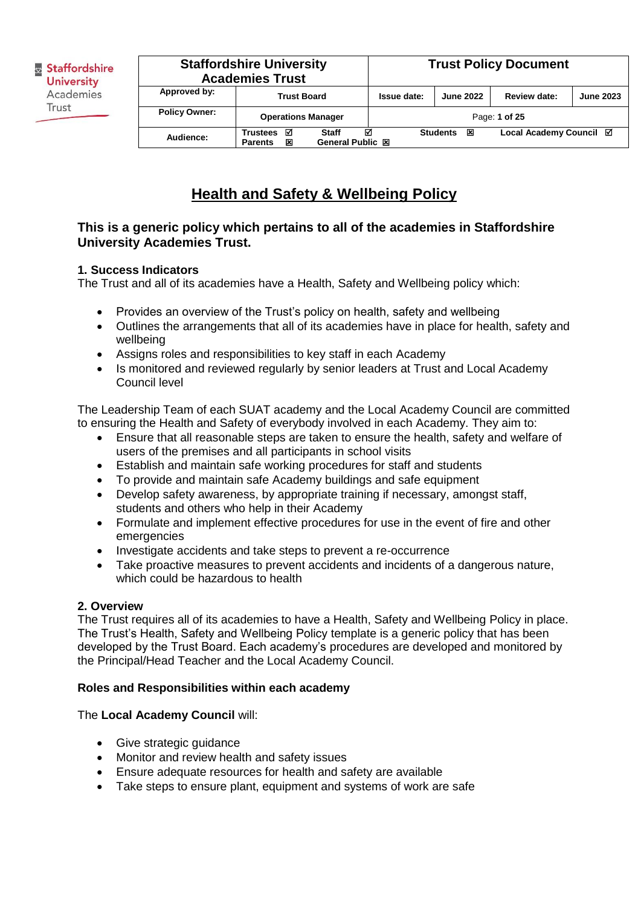|                      | <b>Trust Policy Document</b><br><b>Staffordshire University</b><br><b>Academies Trust</b> |                                              |             |                      |                         |                  |
|----------------------|-------------------------------------------------------------------------------------------|----------------------------------------------|-------------|----------------------|-------------------------|------------------|
| Approved by:         | <b>Trust Board</b>                                                                        |                                              | Issue date: | <b>June 2022</b>     | Review date:            | <b>June 2023</b> |
| <b>Policy Owner:</b> | <b>Operations Manager</b>                                                                 |                                              |             |                      | Page: 1 of 25           |                  |
| Audience:            | ☑<br><b>Trustees</b><br>図<br><b>Parents</b>                                               | М<br><b>Staff</b><br><b>General Public 図</b> |             | <b>Students</b><br>図 | Local Academy Council ⊠ |                  |

# **Health and Safety & Wellbeing Policy**

### **This is a generic policy which pertains to all of the academies in Staffordshire University Academies Trust.**

### **1. Success Indicators**

The Trust and all of its academies have a Health, Safety and Wellbeing policy which:

- Provides an overview of the Trust's policy on health, safety and wellbeing
- Outlines the arrangements that all of its academies have in place for health, safety and wellbeing
- Assigns roles and responsibilities to key staff in each Academy
- Is monitored and reviewed regularly by senior leaders at Trust and Local Academy Council level

The Leadership Team of each SUAT academy and the Local Academy Council are committed to ensuring the Health and Safety of everybody involved in each Academy. They aim to:

- Ensure that all reasonable steps are taken to ensure the health, safety and welfare of users of the premises and all participants in school visits
- Establish and maintain safe working procedures for staff and students
- To provide and maintain safe Academy buildings and safe equipment
- Develop safety awareness, by appropriate training if necessary, amongst staff, students and others who help in their Academy
- Formulate and implement effective procedures for use in the event of fire and other emergencies
- Investigate accidents and take steps to prevent a re-occurrence
- Take proactive measures to prevent accidents and incidents of a dangerous nature, which could be hazardous to health

#### **2. Overview**

The Trust requires all of its academies to have a Health, Safety and Wellbeing Policy in place. The Trust's Health, Safety and Wellbeing Policy template is a generic policy that has been developed by the Trust Board. Each academy's procedures are developed and monitored by the Principal/Head Teacher and the Local Academy Council.

#### **Roles and Responsibilities within each academy**

#### The **Local Academy Council** will:

- Give strategic guidance
- Monitor and review health and safety issues
- Ensure adequate resources for health and safety are available
- Take steps to ensure plant, equipment and systems of work are safe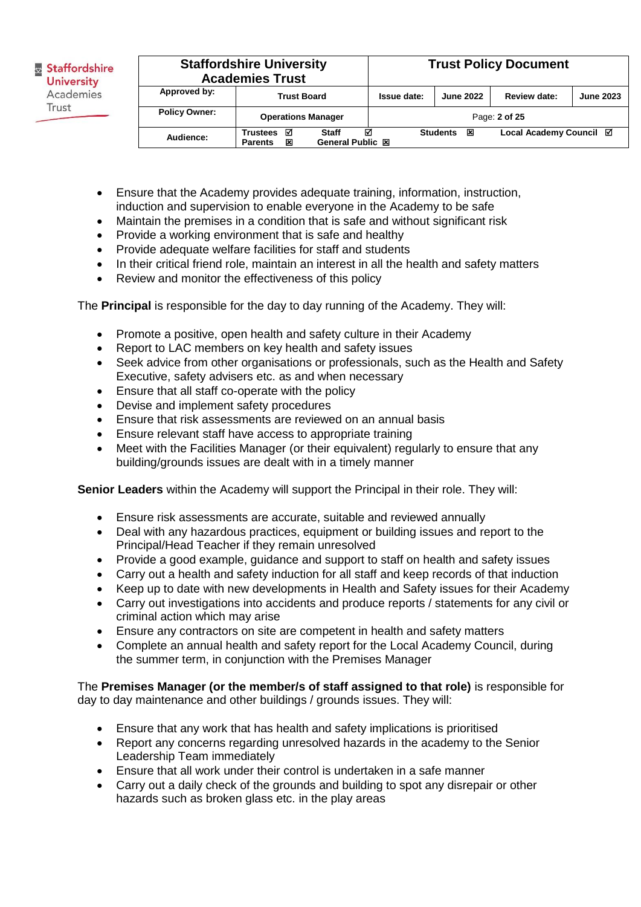|                      | <b>Staffordshire University</b><br><b>Academies Trust</b>                       |             |                       | <b>Trust Policy Document</b> |                  |  |
|----------------------|---------------------------------------------------------------------------------|-------------|-----------------------|------------------------------|------------------|--|
| Approved by:         | <b>Trust Board</b>                                                              | Issue date: | <b>June 2022</b>      | Review date:                 | <b>June 2023</b> |  |
| <b>Policy Owner:</b> | <b>Operations Manager</b>                                                       |             |                       | Page: 2 of 25                |                  |  |
| Audience:            | <b>Staff</b><br><b>Trustees</b><br>☑<br>General Public 図<br>x<br><b>Parents</b> | М           | <b>Students</b><br>1∞ | Local Academy Council ⊠      |                  |  |

- Ensure that the Academy provides adequate training, information, instruction, induction and supervision to enable everyone in the Academy to be safe
- Maintain the premises in a condition that is safe and without significant risk
- Provide a working environment that is safe and healthy
- Provide adequate welfare facilities for staff and students
- In their critical friend role, maintain an interest in all the health and safety matters
- Review and monitor the effectiveness of this policy

The **Principal** is responsible for the day to day running of the Academy. They will:

- Promote a positive, open health and safety culture in their Academy
- Report to LAC members on key health and safety issues
- Seek advice from other organisations or professionals, such as the Health and Safety Executive, safety advisers etc. as and when necessary
- Ensure that all staff co-operate with the policy
- Devise and implement safety procedures
- Ensure that risk assessments are reviewed on an annual basis
- Ensure relevant staff have access to appropriate training
- Meet with the Facilities Manager (or their equivalent) regularly to ensure that any building/grounds issues are dealt with in a timely manner

**Senior Leaders** within the Academy will support the Principal in their role. They will:

- Ensure risk assessments are accurate, suitable and reviewed annually
- Deal with any hazardous practices, equipment or building issues and report to the Principal/Head Teacher if they remain unresolved
- Provide a good example, guidance and support to staff on health and safety issues
- Carry out a health and safety induction for all staff and keep records of that induction
- Keep up to date with new developments in Health and Safety issues for their Academy
- Carry out investigations into accidents and produce reports / statements for any civil or criminal action which may arise
- Ensure any contractors on site are competent in health and safety matters
- Complete an annual health and safety report for the Local Academy Council, during the summer term, in conjunction with the Premises Manager

The **Premises Manager (or the member/s of staff assigned to that role)** is responsible for day to day maintenance and other buildings / grounds issues. They will:

- Ensure that any work that has health and safety implications is prioritised
- Report any concerns regarding unresolved hazards in the academy to the Senior Leadership Team immediately
- Ensure that all work under their control is undertaken in a safe manner
- Carry out a daily check of the grounds and building to spot any disrepair or other hazards such as broken glass etc. in the play areas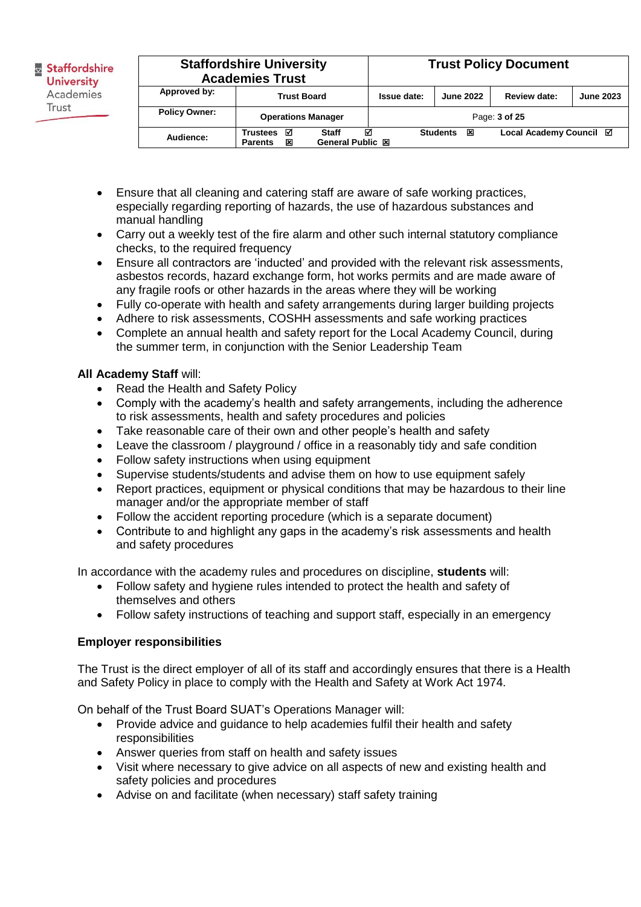| <b>Staffordshire University</b><br><b>Academies Trust</b> | <b>Trust Policy Document</b>                                                    |             |                      |                         |                  |
|-----------------------------------------------------------|---------------------------------------------------------------------------------|-------------|----------------------|-------------------------|------------------|
| Approved by:                                              | <b>Trust Board</b>                                                              | Issue date: | <b>June 2022</b>     | Review date:            | <b>June 2023</b> |
| <b>Policy Owner:</b>                                      | <b>Operations Manager</b>                                                       |             |                      | Page: 3 of 25           |                  |
| Audience:                                                 | <b>Staff</b><br>☑<br>Trustees<br><b>General Public 図</b><br>×<br><b>Parents</b> | ⊠           | <b>Students</b><br>図 | Local Academy Council ⊠ |                  |

- Ensure that all cleaning and catering staff are aware of safe working practices, especially regarding reporting of hazards, the use of hazardous substances and manual handling
- Carry out a weekly test of the fire alarm and other such internal statutory compliance checks, to the required frequency
- Ensure all contractors are 'inducted' and provided with the relevant risk assessments, asbestos records, hazard exchange form, hot works permits and are made aware of any fragile roofs or other hazards in the areas where they will be working
- Fully co-operate with health and safety arrangements during larger building projects
- Adhere to risk assessments, COSHH assessments and safe working practices
- Complete an annual health and safety report for the Local Academy Council, during the summer term, in conjunction with the Senior Leadership Team

### **All Academy Staff** will:

- Read the Health and Safety Policy
- Comply with the academy's health and safety arrangements, including the adherence to risk assessments, health and safety procedures and policies
- Take reasonable care of their own and other people's health and safety
- Leave the classroom / playground / office in a reasonably tidy and safe condition
- Follow safety instructions when using equipment
- Supervise students/students and advise them on how to use equipment safely
- Report practices, equipment or physical conditions that may be hazardous to their line manager and/or the appropriate member of staff
- Follow the accident reporting procedure (which is a separate document)
- Contribute to and highlight any gaps in the academy's risk assessments and health and safety procedures

In accordance with the academy rules and procedures on discipline, **students** will:

- Follow safety and hygiene rules intended to protect the health and safety of themselves and others
- Follow safety instructions of teaching and support staff, especially in an emergency

#### **Employer responsibilities**

The Trust is the direct employer of all of its staff and accordingly ensures that there is a Health and Safety Policy in place to comply with the Health and Safety at Work Act 1974.

On behalf of the Trust Board SUAT's Operations Manager will:

- Provide advice and guidance to help academies fulfil their health and safety responsibilities
- Answer queries from staff on health and safety issues
- Visit where necessary to give advice on all aspects of new and existing health and safety policies and procedures
- Advise on and facilitate (when necessary) staff safety training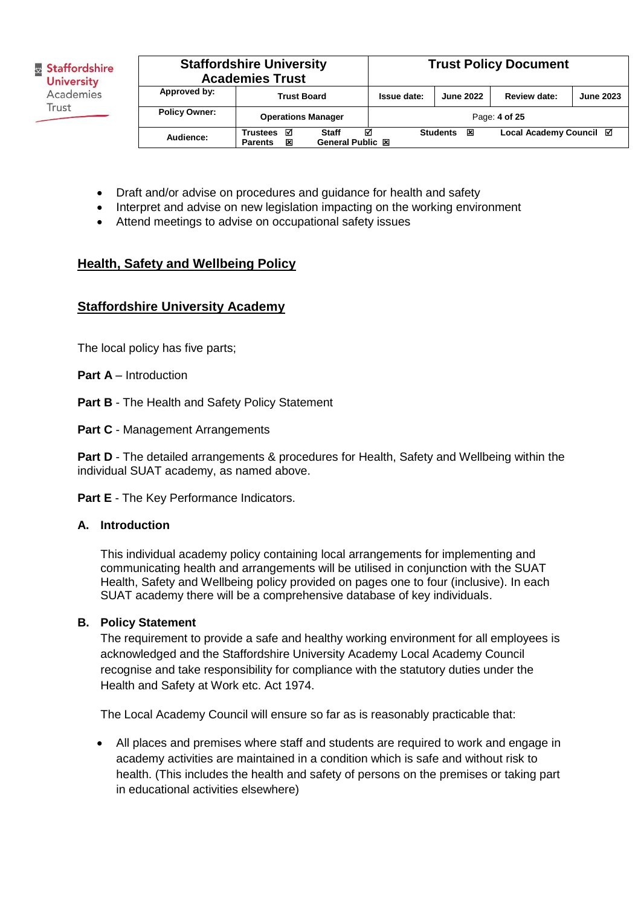| <b>Staffordshire University</b><br><b>Academies Trust</b> |                                                                          |  | <b>Trust Policy Document</b> |                      |                         |                  |
|-----------------------------------------------------------|--------------------------------------------------------------------------|--|------------------------------|----------------------|-------------------------|------------------|
| Approved by:                                              | <b>Trust Board</b>                                                       |  | Issue date:                  | <b>June 2022</b>     | Review date:            | <b>June 2023</b> |
| <b>Policy Owner:</b>                                      | <b>Operations Manager</b>                                                |  |                              |                      | Page: 4 of 25           |                  |
| Audience:                                                 | ☑<br>Staff<br><b>Trustees</b><br>General Public 図<br>⊠<br><b>Parents</b> |  | М                            | 区<br><b>Students</b> | Local Academy Council ⊠ |                  |

- Draft and/or advise on procedures and guidance for health and safety
- Interpret and advise on new legislation impacting on the working environment
- Attend meetings to advise on occupational safety issues

# **Health, Safety and Wellbeing Policy**

# **Staffordshire University Academy**

The local policy has five parts;

**Part A** – Introduction

**Part B** - The Health and Safety Policy Statement

**Part C** - Management Arrangements

**Part D** - The detailed arrangements & procedures for Health, Safety and Wellbeing within the individual SUAT academy, as named above.

**Part E** - The Key Performance Indicators.

#### **A. Introduction**

This individual academy policy containing local arrangements for implementing and communicating health and arrangements will be utilised in conjunction with the SUAT Health, Safety and Wellbeing policy provided on pages one to four (inclusive). In each SUAT academy there will be a comprehensive database of key individuals.

#### **B. Policy Statement**

The requirement to provide a safe and healthy working environment for all employees is acknowledged and the Staffordshire University Academy Local Academy Council recognise and take responsibility for compliance with the statutory duties under the Health and Safety at Work etc. Act 1974.

The Local Academy Council will ensure so far as is reasonably practicable that:

• All places and premises where staff and students are required to work and engage in academy activities are maintained in a condition which is safe and without risk to health. (This includes the health and safety of persons on the premises or taking part in educational activities elsewhere)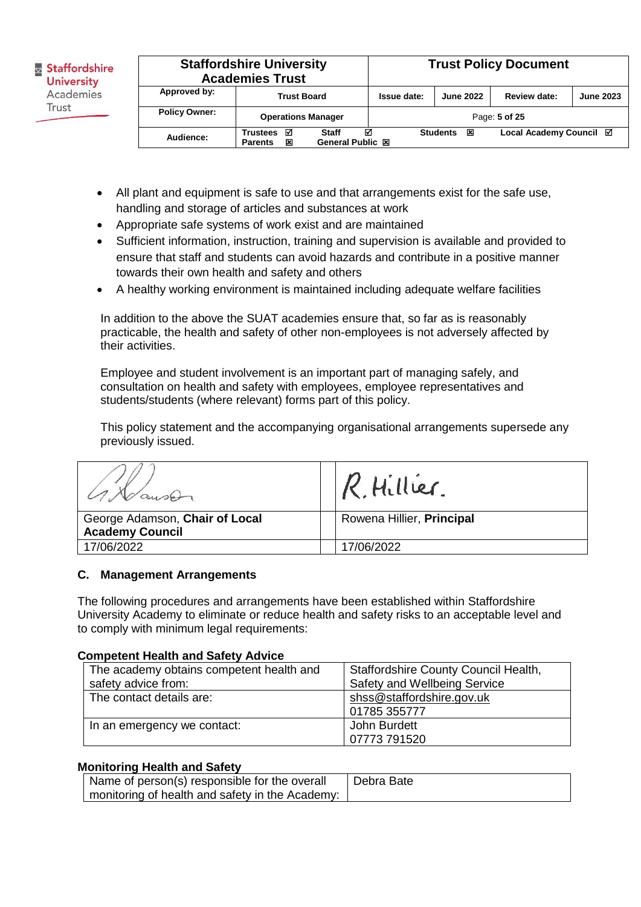|                      | <b>Staffordshire University</b><br><b>Academies Trust</b>                                   |  |             | <b>Trust Policy Document</b> |                         |                  |
|----------------------|---------------------------------------------------------------------------------------------|--|-------------|------------------------------|-------------------------|------------------|
| Approved by:         | <b>Trust Board</b>                                                                          |  | Issue date: | <b>June 2022</b>             | Review date:            | <b>June 2023</b> |
| <b>Policy Owner:</b> | <b>Operations Manager</b>                                                                   |  |             |                              | Page: 5 of 25           |                  |
| Audience:            | ☑<br>М<br><b>Staff</b><br><b>Trustees</b><br>×<br><b>General Public 図</b><br><b>Parents</b> |  |             | <b>Students</b><br>区         | Local Academy Council ⊠ |                  |

- All plant and equipment is safe to use and that arrangements exist for the safe use, handling and storage of articles and substances at work
- Appropriate safe systems of work exist and are maintained
- Sufficient information, instruction, training and supervision is available and provided to ensure that staff and students can avoid hazards and contribute in a positive manner towards their own health and safety and others
- A healthy working environment is maintained including adequate welfare facilities

In addition to the above the SUAT academies ensure that, so far as is reasonably practicable, the health and safety of other non-employees is not adversely affected by their activities.

Employee and student involvement is an important part of managing safely, and consultation on health and safety with employees, employee representatives and students/students (where relevant) forms part of this policy.

This policy statement and the accompanying organisational arrangements supersede any previously issued.

|                                                          | R. Hillier.               |
|----------------------------------------------------------|---------------------------|
| George Adamson, Chair of Local<br><b>Academy Council</b> | Rowena Hillier, Principal |
| 17/06/2022                                               | 17/06/2022                |

#### **C. Management Arrangements**

The following procedures and arrangements have been established within Staffordshire University Academy to eliminate or reduce health and safety risks to an acceptable level and to comply with minimum legal requirements:

#### **Competent Health and Safety Advice**

| The academy obtains competent health and | Staffordshire County Council Health, |
|------------------------------------------|--------------------------------------|
| safety advice from:                      | Safety and Wellbeing Service         |
| The contact details are:                 | shss@staffordshire.gov.uk            |
|                                          | 01785 355777                         |
| In an emergency we contact:              | John Burdett                         |
|                                          | 07773 791520                         |

#### **Monitoring Health and Safety**

| <sup>1</sup> Name of person(s) responsible for the overall | Debra Bate |
|------------------------------------------------------------|------------|
| monitoring of health and safety in the Academy:            |            |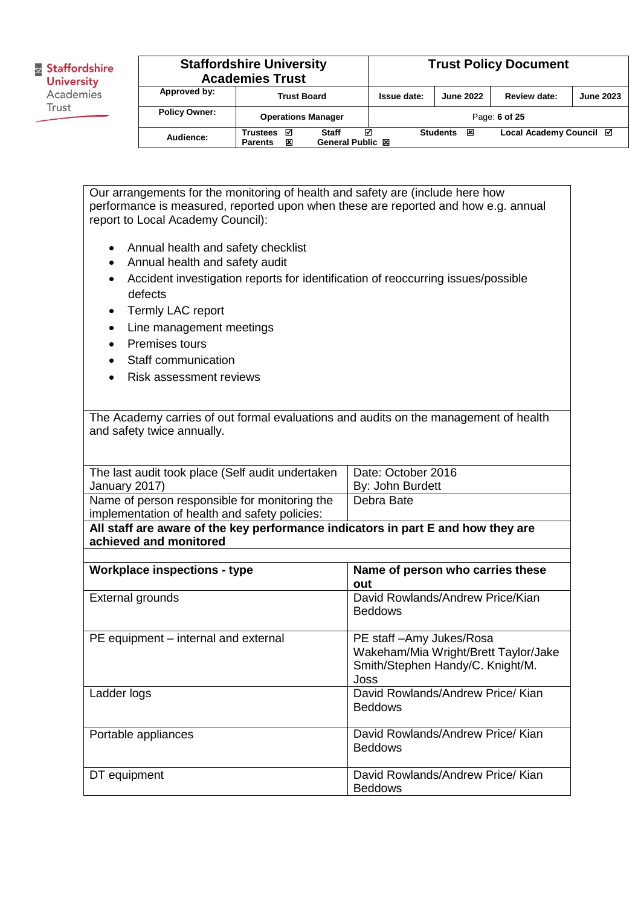| <b>Staffordshire University</b><br><b>Academies Trust</b> |                                      |                                              |               |                      | <b>Trust Policy Document</b> |                  |
|-----------------------------------------------------------|--------------------------------------|----------------------------------------------|---------------|----------------------|------------------------------|------------------|
| Approved by:                                              | <b>Trust Board</b>                   |                                              | Issue date:   | <b>June 2022</b>     | <b>Review date:</b>          | <b>June 2023</b> |
| <b>Policy Owner:</b>                                      | <b>Operations Manager</b>            |                                              | Page: 6 of 25 |                      |                              |                  |
| Audience:                                                 | ⊠<br>Trustees<br>×<br><b>Parents</b> | ⊠<br><b>Staff</b><br><b>General Public 図</b> |               | <b>Students</b><br>因 | Local Academy Council ⊠      |                  |

Our arrangements for the monitoring of health and safety are (include here how performance is measured, reported upon when these are reported and how e.g. annual report to Local Academy Council):

- Annual health and safety checklist
- Annual health and safety audit
- Accident investigation reports for identification of reoccurring issues/possible defects
- Termly LAC report
- Line management meetings
- Premises tours
- Staff communication
- Risk assessment reviews

The Academy carries of out formal evaluations and audits on the management of health and safety twice annually.

| The last audit took place (Self audit undertaken                                               | Date: October 2016 |
|------------------------------------------------------------------------------------------------|--------------------|
| January 2017)                                                                                  | By: John Burdett   |
| Name of person responsible for monitoring the<br>implementation of health and safety policies: | Debra Bate         |
| All staff are aware of the key performance indicators in part E and how they are               |                    |
| achieved and monitored                                                                         |                    |

| <b>Workplace inspections - type</b>  | Name of person who carries these<br>out                                                                     |
|--------------------------------------|-------------------------------------------------------------------------------------------------------------|
| External grounds                     | David Rowlands/Andrew Price/Kian<br><b>Beddows</b>                                                          |
| PE equipment – internal and external | PE staff-Amy Jukes/Rosa<br>Wakeham/Mia Wright/Brett Taylor/Jake<br>Smith/Stephen Handy/C. Knight/M.<br>Joss |
| Ladder logs                          | David Rowlands/Andrew Price/ Kian<br><b>Beddows</b>                                                         |
| Portable appliances                  | David Rowlands/Andrew Price/ Kian<br><b>Beddows</b>                                                         |
| DT equipment                         | David Rowlands/Andrew Price/ Kian<br><b>Beddows</b>                                                         |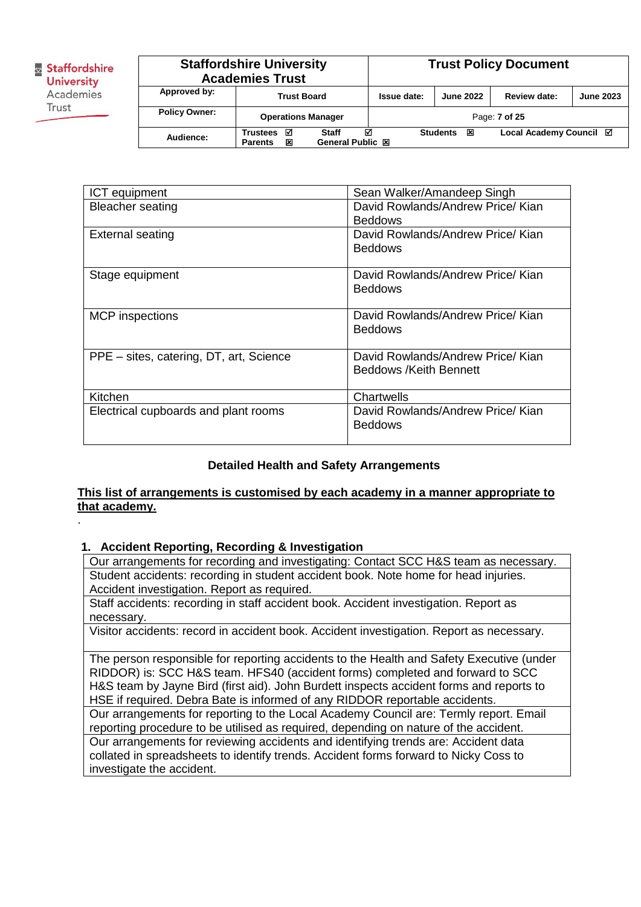.

| <b>Staffordshire University</b><br><b>Academies Trust</b> |                                      |                                              | <b>Trust Policy Document</b> |                      |                         |                  |
|-----------------------------------------------------------|--------------------------------------|----------------------------------------------|------------------------------|----------------------|-------------------------|------------------|
| Approved by:                                              | <b>Trust Board</b>                   |                                              | Issue date:                  | <b>June 2022</b>     | Review date:            | <b>June 2023</b> |
| <b>Policy Owner:</b>                                      | <b>Operations Manager</b>            |                                              |                              |                      | Page: 7 of 25           |                  |
| Audience:                                                 | М<br>Trustees<br>×<br><b>Parents</b> | М<br><b>Staff</b><br><b>General Public 図</b> |                              | <b>Students</b><br>図 | Local Academy Council Ø |                  |

| ICT equipment                           | Sean Walker/Amandeep Singh                                  |
|-----------------------------------------|-------------------------------------------------------------|
| <b>Bleacher seating</b>                 | David Rowlands/Andrew Price/ Kian<br><b>Beddows</b>         |
| <b>External seating</b>                 | David Rowlands/Andrew Price/ Kian<br><b>Beddows</b>         |
| Stage equipment                         | David Rowlands/Andrew Price/ Kian<br><b>Beddows</b>         |
| <b>MCP</b> inspections                  | David Rowlands/Andrew Price/ Kian<br><b>Beddows</b>         |
| PPE - sites, catering, DT, art, Science | David Rowlands/Andrew Price/ Kian<br>Beddows /Keith Bennett |
| Kitchen                                 | Chartwells                                                  |
| Electrical cupboards and plant rooms    | David Rowlands/Andrew Price/ Kian<br><b>Beddows</b>         |

#### **Detailed Health and Safety Arrangements**

#### **This list of arrangements is customised by each academy in a manner appropriate to that academy.**

#### **1. Accident Reporting, Recording & Investigation**

Our arrangements for recording and investigating: Contact SCC H&S team as necessary. Student accidents: recording in student accident book. Note home for head injuries. Accident investigation. Report as required.

Staff accidents: recording in staff accident book. Accident investigation. Report as necessary.

Visitor accidents: record in accident book. Accident investigation. Report as necessary.

The person responsible for reporting accidents to the Health and Safety Executive (under RIDDOR) is: SCC H&S team. HFS40 (accident forms) completed and forward to SCC H&S team by Jayne Bird (first aid). John Burdett inspects accident forms and reports to HSE if required. Debra Bate is informed of any RIDDOR reportable accidents.

Our arrangements for reporting to the Local Academy Council are: Termly report. Email reporting procedure to be utilised as required, depending on nature of the accident. Our arrangements for reviewing accidents and identifying trends are: Accident data collated in spreadsheets to identify trends. Accident forms forward to Nicky Coss to investigate the accident.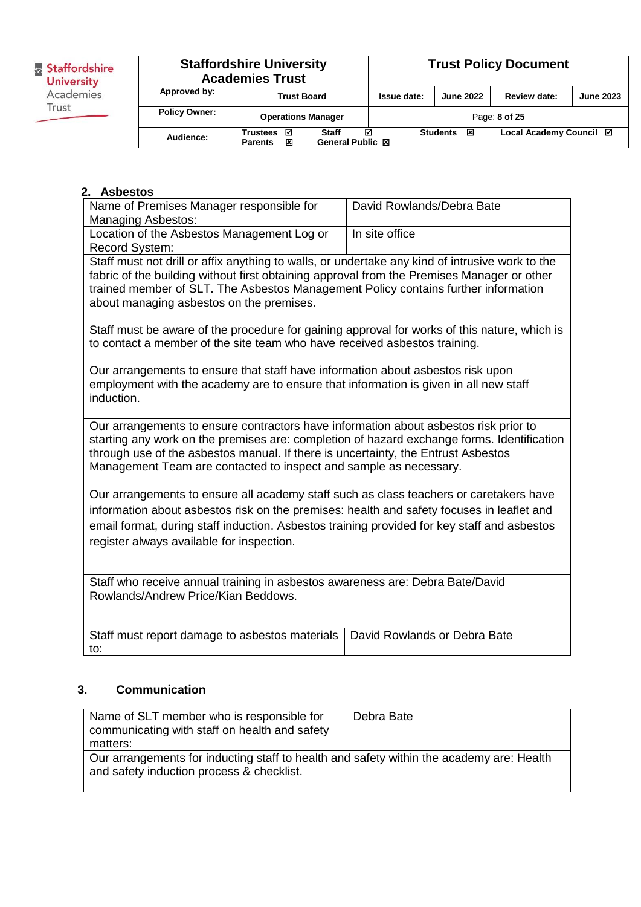**B**<br>**Staffordshire**<br>**University**<br>Academies Trust

|                      | <b>Staffordshire University</b><br><b>Academies Trust</b> |                                |             |                      | <b>Trust Policy Document</b> |                  |
|----------------------|-----------------------------------------------------------|--------------------------------|-------------|----------------------|------------------------------|------------------|
| Approved by:         | <b>Trust Board</b>                                        |                                | Issue date: | <b>June 2022</b>     | Review date:                 | <b>June 2023</b> |
| <b>Policy Owner:</b> | <b>Operations Manager</b>                                 |                                |             |                      | Page: 8 of 25                |                  |
| Audience:            | ☑<br><b>Trustees</b><br>×<br><b>Parents</b>               | ⊠<br>Staff<br>General Public 図 |             | 区<br><b>Students</b> | Local Academy Council ⊠      |                  |

### **2. Asbestos**

| Name of Premises Manager responsible for<br><b>Managing Asbestos:</b>                                                                                                                                                                                                                                                                        | David Rowlands/Debra Bate    |  |  |  |
|----------------------------------------------------------------------------------------------------------------------------------------------------------------------------------------------------------------------------------------------------------------------------------------------------------------------------------------------|------------------------------|--|--|--|
| Location of the Asbestos Management Log or<br>Record System:                                                                                                                                                                                                                                                                                 | In site office               |  |  |  |
| Staff must not drill or affix anything to walls, or undertake any kind of intrusive work to the<br>fabric of the building without first obtaining approval from the Premises Manager or other<br>trained member of SLT. The Asbestos Management Policy contains further information<br>about managing asbestos on the premises.              |                              |  |  |  |
| Staff must be aware of the procedure for gaining approval for works of this nature, which is<br>to contact a member of the site team who have received asbestos training.                                                                                                                                                                    |                              |  |  |  |
| Our arrangements to ensure that staff have information about asbestos risk upon<br>employment with the academy are to ensure that information is given in all new staff<br>induction.                                                                                                                                                        |                              |  |  |  |
| Our arrangements to ensure contractors have information about asbestos risk prior to<br>starting any work on the premises are: completion of hazard exchange forms. Identification<br>through use of the asbestos manual. If there is uncertainty, the Entrust Asbestos<br>Management Team are contacted to inspect and sample as necessary. |                              |  |  |  |
| Our arrangements to ensure all academy staff such as class teachers or caretakers have                                                                                                                                                                                                                                                       |                              |  |  |  |
| information about asbestos risk on the premises: health and safety focuses in leaflet and<br>email format, during staff induction. Asbestos training provided for key staff and asbestos<br>register always available for inspection.                                                                                                        |                              |  |  |  |
| Staff who receive annual training in asbestos awareness are: Debra Bate/David<br>Rowlands/Andrew Price/Kian Beddows.                                                                                                                                                                                                                         |                              |  |  |  |
| Staff must report damage to asbestos materials<br>to:                                                                                                                                                                                                                                                                                        | David Rowlands or Debra Bate |  |  |  |

### **3. Communication**

| Name of SLT member who is responsible for<br>communicating with staff on health and safety<br>matters:                                | Debra Bate |
|---------------------------------------------------------------------------------------------------------------------------------------|------------|
| Our arrangements for inducting staff to health and safety within the academy are: Health<br>and safety induction process & checklist. |            |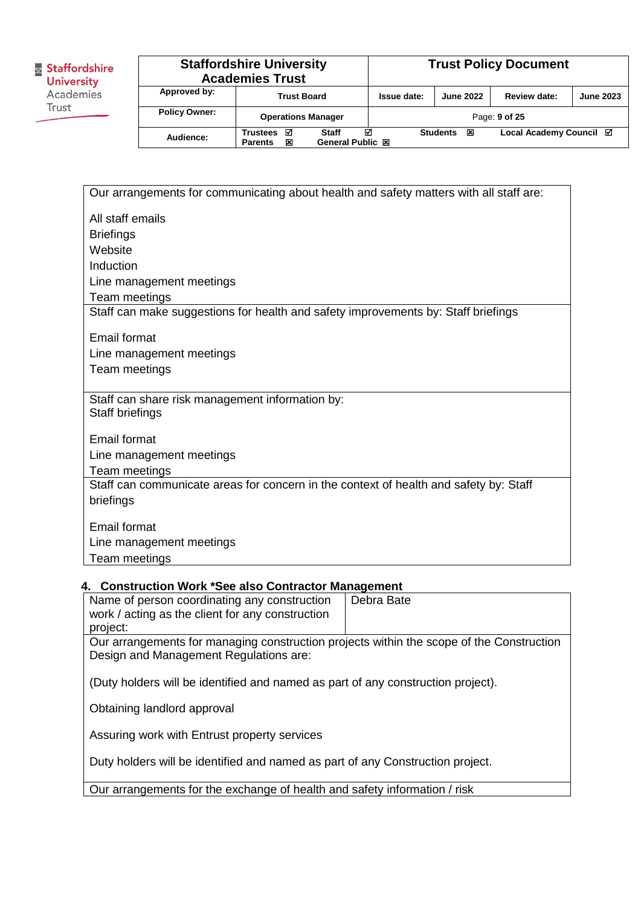| Staffordshire<br><b>University</b><br>Academies |
|-------------------------------------------------|
| Trust                                           |

|                      | <b>Staffordshire University</b><br><b>Academies Trust</b>         |             |                      | <b>Trust Policy Document</b> |                  |
|----------------------|-------------------------------------------------------------------|-------------|----------------------|------------------------------|------------------|
| Approved by:         | <b>Trust Board</b>                                                | Issue date: | <b>June 2022</b>     | Review date:                 | <b>June 2023</b> |
| <b>Policy Owner:</b> | <b>Operations Manager</b>                                         |             |                      | Page: 9 of 25                |                  |
| Audience:            | Staff<br>Trustees<br>☑<br>General Public 図<br>×<br><b>Parents</b> | ☑           | 図<br><b>Students</b> | Local Academy Council ⊠      |                  |

| Our arrangements for communicating about health and safety matters with all staff are:                 |
|--------------------------------------------------------------------------------------------------------|
| All staff emails                                                                                       |
| <b>Briefings</b>                                                                                       |
| Website                                                                                                |
| Induction                                                                                              |
| Line management meetings                                                                               |
| Team meetings                                                                                          |
| Staff can make suggestions for health and safety improvements by: Staff briefings                      |
| Email format                                                                                           |
| Line management meetings                                                                               |
| Team meetings                                                                                          |
| Staff can share risk management information by:                                                        |
| Staff briefings                                                                                        |
|                                                                                                        |
| <b>Email format</b>                                                                                    |
| Line management meetings                                                                               |
| Team meetings<br>Staff can communicate areas for concern in the context of health and safety by: Staff |
| briefings                                                                                              |
|                                                                                                        |
| Email format                                                                                           |
| Line management meetings                                                                               |
| Team meetings                                                                                          |

# **4. Construction Work \*See also Contractor Management**

| Name of person coordinating any construction<br>work / acting as the client for any construction                                   | Debra Bate |  |  |  |
|------------------------------------------------------------------------------------------------------------------------------------|------------|--|--|--|
| project:                                                                                                                           |            |  |  |  |
| Our arrangements for managing construction projects within the scope of the Construction<br>Design and Management Regulations are: |            |  |  |  |
| (Duty holders will be identified and named as part of any construction project).                                                   |            |  |  |  |
| Obtaining landlord approval                                                                                                        |            |  |  |  |
| Assuring work with Entrust property services                                                                                       |            |  |  |  |
| Duty holders will be identified and named as part of any Construction project.                                                     |            |  |  |  |
| Our arrangements for the exchange of health and safety information / risk                                                          |            |  |  |  |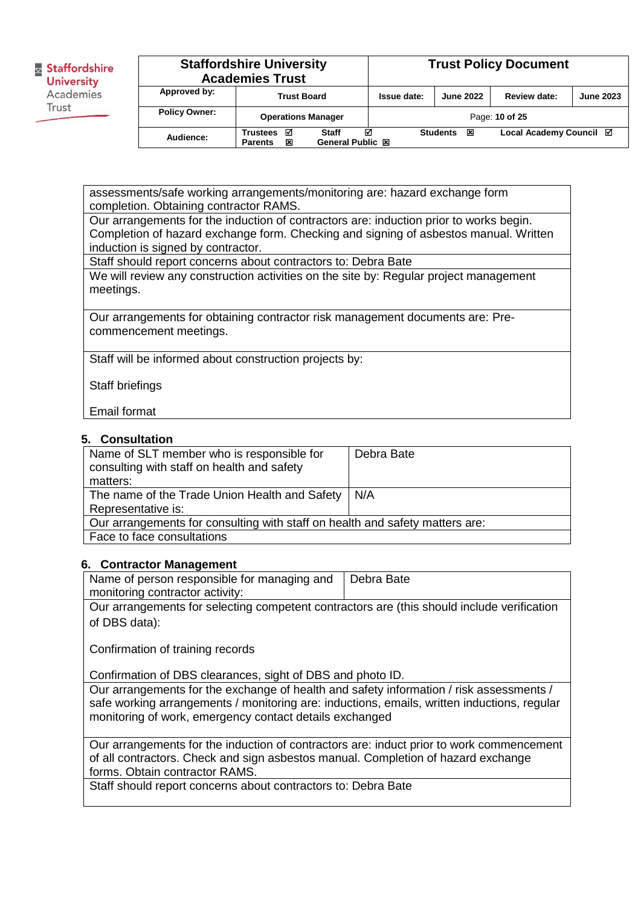| Staffordshire     |
|-------------------|
| <b>University</b> |
| Academies         |
| Trust             |
|                   |

|                      | <b>Staffordshire University</b><br><b>Academies Trust</b> |                                |             |                      | <b>Trust Policy Document</b> |                  |
|----------------------|-----------------------------------------------------------|--------------------------------|-------------|----------------------|------------------------------|------------------|
| Approved by:         | <b>Trust Board</b>                                        |                                | Issue date: | <b>June 2022</b>     | Review date:                 | <b>June 2023</b> |
| <b>Policy Owner:</b> | <b>Operations Manager</b>                                 |                                |             |                      | Page: 10 of 25               |                  |
| Audience:            | ☑<br><b>Trustees</b><br>×<br><b>Parents</b>               | ⊠<br>Staff<br>General Public 図 |             | <b>Students</b><br>区 | Local Academy Council Ø      |                  |

assessments/safe working arrangements/monitoring are: hazard exchange form completion. Obtaining contractor RAMS.

Our arrangements for the induction of contractors are: induction prior to works begin. Completion of hazard exchange form. Checking and signing of asbestos manual. Written induction is signed by contractor.

Staff should report concerns about contractors to: Debra Bate

We will review any construction activities on the site by: Regular project management meetings.

Our arrangements for obtaining contractor risk management documents are: Precommencement meetings.

Staff will be informed about construction projects by:

Staff briefings

Email format

**5. Consultation** 

| Name of SLT member who is responsible for<br>consulting with staff on health and safety<br>matters: | Debra Bate |  |  |
|-----------------------------------------------------------------------------------------------------|------------|--|--|
| The name of the Trade Union Health and Safety                                                       | N/A        |  |  |
| Representative is:                                                                                  |            |  |  |
| Our arrangements for consulting with staff on health and safety matters are:                        |            |  |  |
| Face to face consultations                                                                          |            |  |  |
|                                                                                                     |            |  |  |

#### **6. Contractor Management**

| Name of person responsible for managing and                                                | Debra Bate |
|--------------------------------------------------------------------------------------------|------------|
| monitoring contractor activity:                                                            |            |
| Our arrangements for selecting competent contractors are (this should include verification |            |

of DBS data):

Confirmation of training records

Confirmation of DBS clearances, sight of DBS and photo ID.

Our arrangements for the exchange of health and safety information / risk assessments / safe working arrangements / monitoring are: inductions, emails, written inductions, regular monitoring of work, emergency contact details exchanged

Our arrangements for the induction of contractors are: induct prior to work commencement of all contractors. Check and sign asbestos manual. Completion of hazard exchange forms. Obtain contractor RAMS.

Staff should report concerns about contractors to: Debra Bate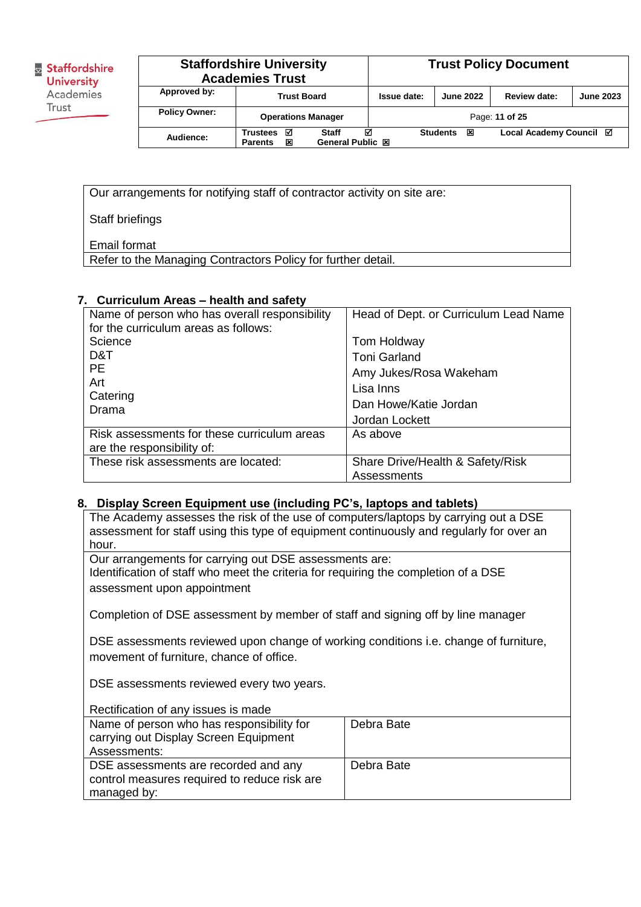| <b>Staffordshire University</b><br><b>Academies Trust</b> |                                      |                                |             | <b>Trust Policy Document</b> |                         |                  |
|-----------------------------------------------------------|--------------------------------------|--------------------------------|-------------|------------------------------|-------------------------|------------------|
| Approved by:                                              | <b>Trust Board</b>                   |                                | Issue date: | <b>June 2022</b>             | Review date:            | <b>June 2023</b> |
| <b>Policy Owner:</b>                                      | <b>Operations Manager</b>            |                                |             |                              | Page: 11 of 25          |                  |
| Audience:                                                 | ⊠<br>Trustees<br>×<br><b>Parents</b> | ⊠<br>Staff<br>General Public 図 |             | <b>Students</b><br>冈         | Local Academy Council Ø |                  |

Our arrangements for notifying staff of contractor activity on site are:

Staff briefings

Email format

Refer to the Managing Contractors Policy for further detail.

### **7. Curriculum Areas – health and safety**

| Name of person who has overall responsibility | Head of Dept. or Curriculum Lead Name |
|-----------------------------------------------|---------------------------------------|
| for the curriculum areas as follows:          |                                       |
| Science                                       | Tom Holdway                           |
| D&T                                           | <b>Toni Garland</b>                   |
| <b>PE</b>                                     | Amy Jukes/Rosa Wakeham                |
| Art                                           | Lisa Inns                             |
| Catering<br>Drama                             | Dan Howe/Katie Jordan                 |
|                                               | Jordan Lockett                        |
| Risk assessments for these curriculum areas   | As above                              |
| are the responsibility of:                    |                                       |
| These risk assessments are located:           | Share Drive/Health & Safety/Risk      |
|                                               | Assessments                           |

#### **8. Display Screen Equipment use (including PC's, laptops and tablets)**

The Academy assesses the risk of the use of computers/laptops by carrying out a DSE assessment for staff using this type of equipment continuously and regularly for over an hour.

Our arrangements for carrying out DSE assessments are: Identification of staff who meet the criteria for requiring the completion of a DSE assessment upon appointment

Completion of DSE assessment by member of staff and signing off by line manager

DSE assessments reviewed upon change of working conditions i.e. change of furniture, movement of furniture, chance of office.

DSE assessments reviewed every two years.

| Rectification of any issues is made          |            |
|----------------------------------------------|------------|
| Name of person who has responsibility for    | Debra Bate |
| carrying out Display Screen Equipment        |            |
| Assessments:                                 |            |
| DSE assessments are recorded and any         | Debra Bate |
| control measures required to reduce risk are |            |
| managed by:                                  |            |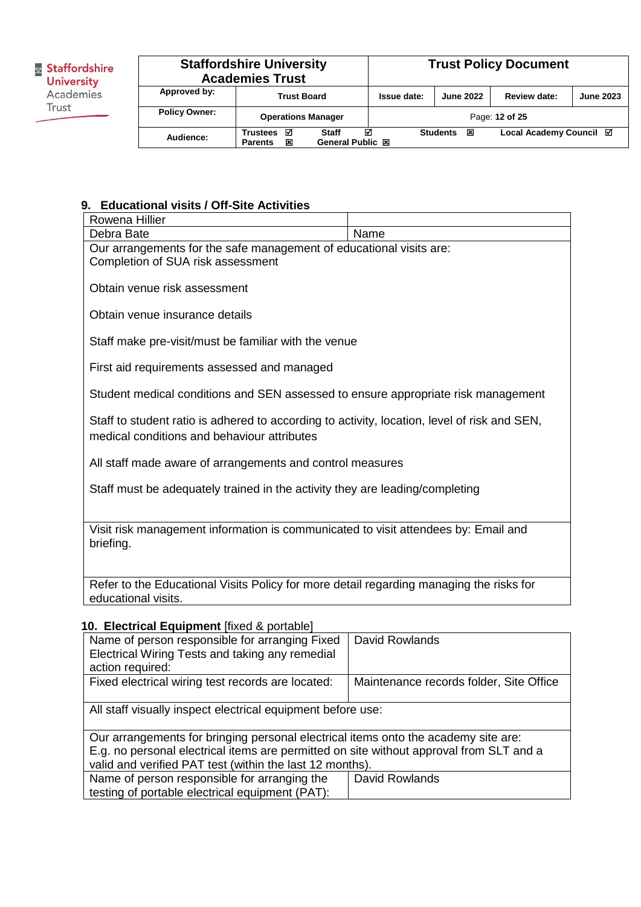**B**<br>**Staffordshire**<br>**University**<br>Academies Trust

| <b>Staffordshire University</b><br><b>Academies Trust</b> |                                             |                                       |             |                      | <b>Trust Policy Document</b> |                  |
|-----------------------------------------------------------|---------------------------------------------|---------------------------------------|-------------|----------------------|------------------------------|------------------|
| Approved by:                                              | <b>Trust Board</b>                          |                                       | Issue date: | <b>June 2022</b>     | Review date:                 | <b>June 2023</b> |
| <b>Policy Owner:</b>                                      | <b>Operations Manager</b>                   |                                       |             |                      | Page: 12 of 25               |                  |
| Audience:                                                 | М<br><b>Trustees</b><br>区<br><b>Parents</b> | M<br><b>Staff</b><br>General Public 図 |             | <b>Students</b><br>冈 | Local Academy Council ⊠      |                  |

# **9. Educational visits / Off-Site Activities**

| Rowena Hillier                                                                                                                              |                |  |  |  |
|---------------------------------------------------------------------------------------------------------------------------------------------|----------------|--|--|--|
| Debra Bate                                                                                                                                  | Name           |  |  |  |
| Our arrangements for the safe management of educational visits are:<br>Completion of SUA risk assessment                                    |                |  |  |  |
| Obtain venue risk assessment                                                                                                                |                |  |  |  |
| Obtain venue insurance details                                                                                                              |                |  |  |  |
| Staff make pre-visit/must be familiar with the venue                                                                                        |                |  |  |  |
| First aid requirements assessed and managed                                                                                                 |                |  |  |  |
| Student medical conditions and SEN assessed to ensure appropriate risk management                                                           |                |  |  |  |
| Staff to student ratio is adhered to according to activity, location, level of risk and SEN,<br>medical conditions and behaviour attributes |                |  |  |  |
| All staff made aware of arrangements and control measures                                                                                   |                |  |  |  |
| Staff must be adequately trained in the activity they are leading/completing                                                                |                |  |  |  |
| Visit risk management information is communicated to visit attendees by: Email and<br>briefing.                                             |                |  |  |  |
| Refer to the Educational Visits Policy for more detail regarding managing the risks for<br>educational visits.                              |                |  |  |  |
| 10. Electrical Equipment [fixed & portable]                                                                                                 |                |  |  |  |
| Name of person responsible for arranging Fixed<br>Electrical Wiring Tests and taking any remedial                                           | David Rowlands |  |  |  |

| Electrical Wiring Tests and taking any remedial<br>action required:                     |                                         |  |  |  |  |
|-----------------------------------------------------------------------------------------|-----------------------------------------|--|--|--|--|
| Fixed electrical wiring test records are located:                                       | Maintenance records folder, Site Office |  |  |  |  |
| All staff visually inspect electrical equipment before use:                             |                                         |  |  |  |  |
| Our arrangements for bringing personal electrical items onto the academy site are:      |                                         |  |  |  |  |
| E.g. no personal electrical items are permitted on site without approval from SLT and a |                                         |  |  |  |  |
| valid and verified PAT test (within the last 12 months).                                |                                         |  |  |  |  |
| Name of person responsible for arranging the                                            | David Rowlands                          |  |  |  |  |
| testing of portable electrical equipment (PAT):                                         |                                         |  |  |  |  |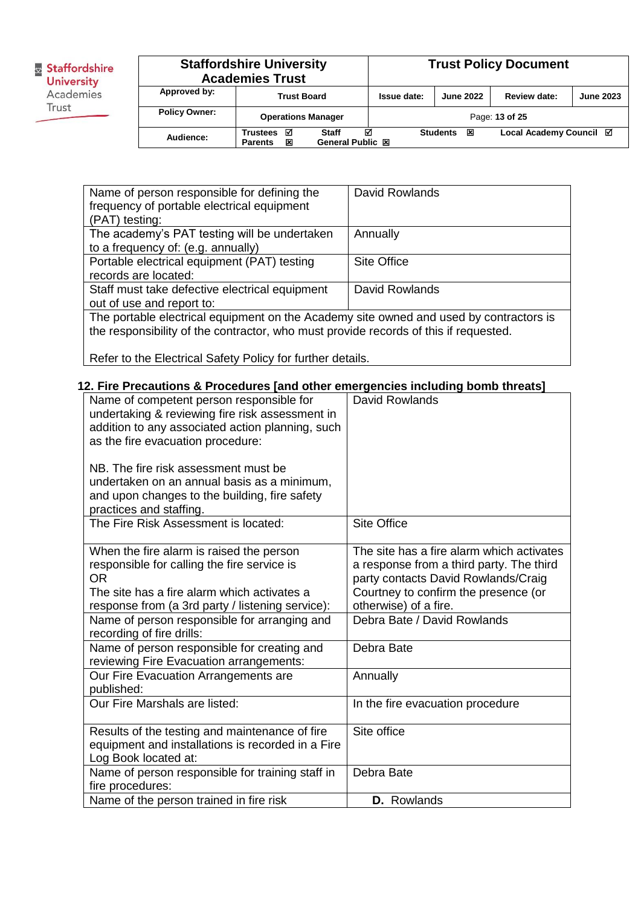| Staffordshire<br><b>University</b> |
|------------------------------------|
| Academies                          |
| Trust                              |
|                                    |

#### **Staffordshire University Academies Trust Trust Policy Document Approved by: Trust Board Issue date: June 2022 Review date: June 2023 Policy Owner: Operations Manager** Page: **13 of 25 Audience:** Trustees **a** Staff **a** Students **図** Local Academy Council **Ø** General Public **図 Part Bublic 図**

| Name of person responsible for defining the                                            | <b>David Rowlands</b> |  |  |  |  |
|----------------------------------------------------------------------------------------|-----------------------|--|--|--|--|
| frequency of portable electrical equipment                                             |                       |  |  |  |  |
|                                                                                        |                       |  |  |  |  |
| (PAT) testing:                                                                         |                       |  |  |  |  |
| The academy's PAT testing will be undertaken                                           | Annually              |  |  |  |  |
| to a frequency of: (e.g. annually)                                                     |                       |  |  |  |  |
| Portable electrical equipment (PAT) testing                                            | Site Office           |  |  |  |  |
| records are located:                                                                   |                       |  |  |  |  |
| Staff must take defective electrical equipment                                         | David Rowlands        |  |  |  |  |
| out of use and report to:                                                              |                       |  |  |  |  |
| The portable electrical equipment on the Academy site owned and used by contractors is |                       |  |  |  |  |
| the responsibility of the contractor, who must provide records of this if requested.   |                       |  |  |  |  |
|                                                                                        |                       |  |  |  |  |

Refer to the Electrical Safety Policy for further details.

### **12. Fire Precautions & Procedures [and other emergencies including bomb threats]**

| Name of competent person responsible for<br>undertaking & reviewing fire risk assessment in<br>addition to any associated action planning, such<br>as the fire evacuation procedure:<br>NB. The fire risk assessment must be<br>undertaken on an annual basis as a minimum,<br>and upon changes to the building, fire safety | David Rowlands                                                                                                                                                       |
|------------------------------------------------------------------------------------------------------------------------------------------------------------------------------------------------------------------------------------------------------------------------------------------------------------------------------|----------------------------------------------------------------------------------------------------------------------------------------------------------------------|
| practices and staffing.<br>The Fire Risk Assessment is located:                                                                                                                                                                                                                                                              | <b>Site Office</b>                                                                                                                                                   |
| When the fire alarm is raised the person<br>responsible for calling the fire service is<br>OR.<br>The site has a fire alarm which activates a                                                                                                                                                                                | The site has a fire alarm which activates<br>a response from a third party. The third<br>party contacts David Rowlands/Craig<br>Courtney to confirm the presence (or |
| response from (a 3rd party / listening service):                                                                                                                                                                                                                                                                             | otherwise) of a fire.                                                                                                                                                |
| Name of person responsible for arranging and<br>recording of fire drills:                                                                                                                                                                                                                                                    | Debra Bate / David Rowlands                                                                                                                                          |
| Name of person responsible for creating and<br>reviewing Fire Evacuation arrangements:                                                                                                                                                                                                                                       | Debra Bate                                                                                                                                                           |
| Our Fire Evacuation Arrangements are<br>published:                                                                                                                                                                                                                                                                           | Annually                                                                                                                                                             |
| Our Fire Marshals are listed:                                                                                                                                                                                                                                                                                                | In the fire evacuation procedure                                                                                                                                     |
| Results of the testing and maintenance of fire<br>equipment and installations is recorded in a Fire<br>Log Book located at:                                                                                                                                                                                                  | Site office                                                                                                                                                          |
| Name of person responsible for training staff in<br>fire procedures:                                                                                                                                                                                                                                                         | Debra Bate                                                                                                                                                           |
| Name of the person trained in fire risk                                                                                                                                                                                                                                                                                      | D. Rowlands                                                                                                                                                          |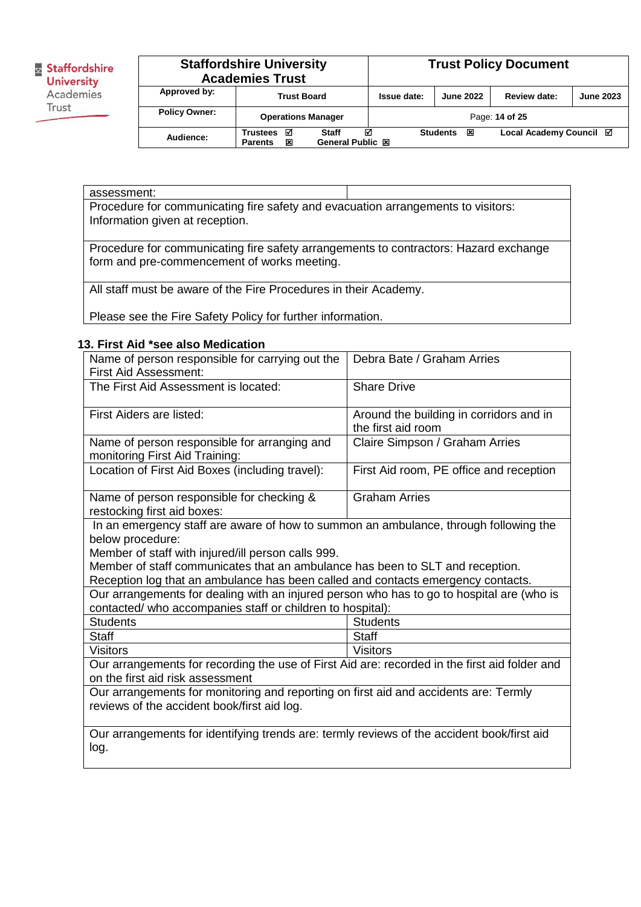

| <b>Staffordshire University</b><br><b>Academies Trust</b> |                                             |                                |             |                      | <b>Trust Policy Document</b> |                  |
|-----------------------------------------------------------|---------------------------------------------|--------------------------------|-------------|----------------------|------------------------------|------------------|
| Approved by:                                              | <b>Trust Board</b>                          |                                | Issue date: | <b>June 2022</b>     | Review date:                 | <b>June 2023</b> |
| <b>Policy Owner:</b>                                      | <b>Operations Manager</b>                   |                                |             |                      | Page: 14 of 25               |                  |
| Audience:                                                 | М<br><b>Trustees</b><br>×<br><b>Parents</b> | М<br>Staff<br>General Public 図 |             | <b>Students</b><br>冈 | Local Academy Council ⊠      |                  |

#### assessment:

Procedure for communicating fire safety and evacuation arrangements to visitors: Information given at reception.

Procedure for communicating fire safety arrangements to contractors: Hazard exchange form and pre-commencement of works meeting.

All staff must be aware of the Fire Procedures in their Academy.

Please see the Fire Safety Policy for further information.

### **13. First Aid \*see also Medication**

| Debra Bate / Graham Arries                                                                                                          |  |  |  |  |
|-------------------------------------------------------------------------------------------------------------------------------------|--|--|--|--|
|                                                                                                                                     |  |  |  |  |
| <b>Share Drive</b>                                                                                                                  |  |  |  |  |
| Around the building in corridors and in                                                                                             |  |  |  |  |
| the first aid room                                                                                                                  |  |  |  |  |
| Claire Simpson / Graham Arries                                                                                                      |  |  |  |  |
|                                                                                                                                     |  |  |  |  |
| First Aid room, PE office and reception                                                                                             |  |  |  |  |
| <b>Graham Arries</b>                                                                                                                |  |  |  |  |
|                                                                                                                                     |  |  |  |  |
| In an emergency staff are aware of how to summon an ambulance, through following the                                                |  |  |  |  |
|                                                                                                                                     |  |  |  |  |
|                                                                                                                                     |  |  |  |  |
| Member of staff with injured/ill person calls 999.<br>Member of staff communicates that an ambulance has been to SLT and reception. |  |  |  |  |
| Reception log that an ambulance has been called and contacts emergency contacts.                                                    |  |  |  |  |
| Our arrangements for dealing with an injured person who has to go to hospital are (who is                                           |  |  |  |  |
| contacted/ who accompanies staff or children to hospital):                                                                          |  |  |  |  |
| <b>Students</b>                                                                                                                     |  |  |  |  |
| <b>Staff</b>                                                                                                                        |  |  |  |  |
| <b>Visitors</b>                                                                                                                     |  |  |  |  |
| Our arrangements for recording the use of First Aid are: recorded in the first aid folder and                                       |  |  |  |  |
| on the first aid risk assessment                                                                                                    |  |  |  |  |
| Our arrangements for monitoring and reporting on first aid and accidents are: Termly                                                |  |  |  |  |
| reviews of the accident book/first aid log.                                                                                         |  |  |  |  |
|                                                                                                                                     |  |  |  |  |
| Our arrangements for identifying trends are: termly reviews of the accident book/first aid                                          |  |  |  |  |
| log.                                                                                                                                |  |  |  |  |
|                                                                                                                                     |  |  |  |  |
|                                                                                                                                     |  |  |  |  |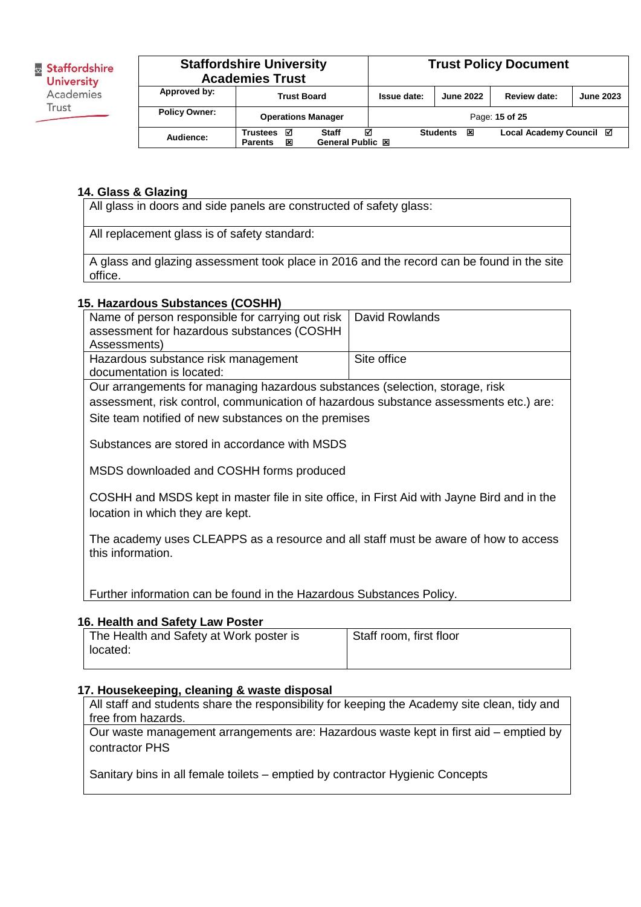# **Staffordshire University Academies Trust Trust Policy Document Approved by: Trust Board Issue date: June 2022 Review date: June 2023 Policy Owner: Operations Manager** Page: **15** of 25 **Audience:** Trustees **☑ Staff** *☑* **Students <b>囟 Local Academy Council** *☑* General Public **囟**

**General Public 図** 

#### **14. Glass & Glazing**

All glass in doors and side panels are constructed of safety glass:

All replacement glass is of safety standard:

A glass and glazing assessment took place in 2016 and the record can be found in the site office.

#### **15. Hazardous Substances (COSHH)**

| Name of person responsible for carrying out risk                                      | David Rowlands |  |  |  |
|---------------------------------------------------------------------------------------|----------------|--|--|--|
| assessment for hazardous substances (COSHH                                            |                |  |  |  |
| Assessments)                                                                          |                |  |  |  |
| Hazardous substance risk management                                                   | Site office    |  |  |  |
| documentation is located:                                                             |                |  |  |  |
| Our arrangements for managing hazardous substances (selection, storage, risk          |                |  |  |  |
| assessment, risk control, communication of hazardous substance assessments etc.) are: |                |  |  |  |
| Site team notified of new substances on the premises                                  |                |  |  |  |
|                                                                                       |                |  |  |  |
| Substances are stored in accordance with MSDS                                         |                |  |  |  |
|                                                                                       |                |  |  |  |
| MSDS downloaded and COSHH forms produced                                              |                |  |  |  |

COSHH and MSDS kept in master file in site office, in First Aid with Jayne Bird and in the location in which they are kept.

The academy uses CLEAPPS as a resource and all staff must be aware of how to access this information.

Further information can be found in the Hazardous Substances Policy.

#### **16. Health and Safety Law Poster**

| The Health and Safety at Work poster is | Staff room, first floor |
|-----------------------------------------|-------------------------|
| located:                                |                         |

#### **17. Housekeeping, cleaning & waste disposal**

All staff and students share the responsibility for keeping the Academy site clean, tidy and free from hazards.

Our waste management arrangements are: Hazardous waste kept in first aid – emptied by contractor PHS

Sanitary bins in all female toilets – emptied by contractor Hygienic Concepts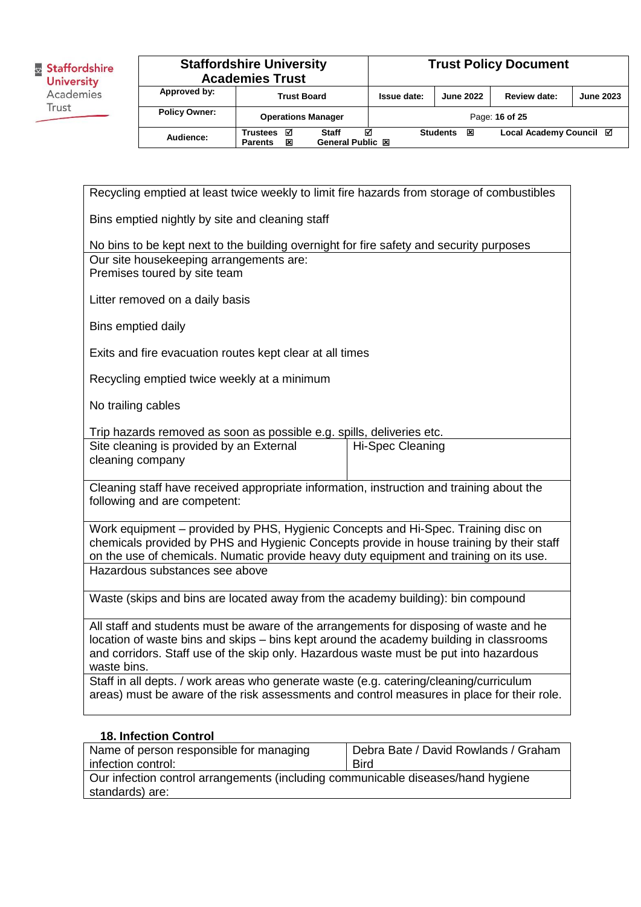| <b>Staffordshire University</b><br><b>Academies Trust</b> |                                             |                                | <b>Trust Policy Document</b> |                      |                         |                  |
|-----------------------------------------------------------|---------------------------------------------|--------------------------------|------------------------------|----------------------|-------------------------|------------------|
| Approved by:                                              | <b>Trust Board</b>                          |                                | Issue date:                  | <b>June 2022</b>     | Review date:            | <b>June 2023</b> |
| <b>Policy Owner:</b>                                      | <b>Operations Manager</b>                   |                                |                              |                      | Page: 16 of 25          |                  |
| Audience:                                                 | ☑<br><b>Trustees</b><br>×<br><b>Parents</b> | М<br>Staff<br>General Public 図 |                              | <b>Students</b><br>区 | Local Academy Council ⊠ |                  |

Recycling emptied at least twice weekly to limit fire hazards from storage of combustibles Bins emptied nightly by site and cleaning staff No bins to be kept next to the building overnight for fire safety and security purposes Our site housekeeping arrangements are: Premises toured by site team Litter removed on a daily basis Bins emptied daily Exits and fire evacuation routes kept clear at all times Recycling emptied twice weekly at a minimum No trailing cables Trip hazards removed as soon as possible e.g. spills, deliveries etc. Site cleaning is provided by an External cleaning company Hi-Spec Cleaning Cleaning staff have received appropriate information, instruction and training about the following and are competent: Work equipment – provided by PHS, Hygienic Concepts and Hi-Spec. Training disc on chemicals provided by PHS and Hygienic Concepts provide in house training by their staff on the use of chemicals. Numatic provide heavy duty equipment and training on its use. Hazardous substances see above Waste (skips and bins are located away from the academy building): bin compound All staff and students must be aware of the arrangements for disposing of waste and he location of waste bins and skips – bins kept around the academy building in classrooms and corridors. Staff use of the skip only. Hazardous waste must be put into hazardous waste bins. Staff in all depts. / work areas who generate waste (e.g. catering/cleaning/curriculum areas) must be aware of the risk assessments and control measures in place for their role.

#### **18. Infection Control**

| Name of person responsible for managing                                          | Debra Bate / David Rowlands / Graham |  |  |  |
|----------------------------------------------------------------------------------|--------------------------------------|--|--|--|
| infection control:                                                               | <b>Bird</b>                          |  |  |  |
| Our infection control arrangements (including communicable diseases/hand hygiene |                                      |  |  |  |
| standards) are:                                                                  |                                      |  |  |  |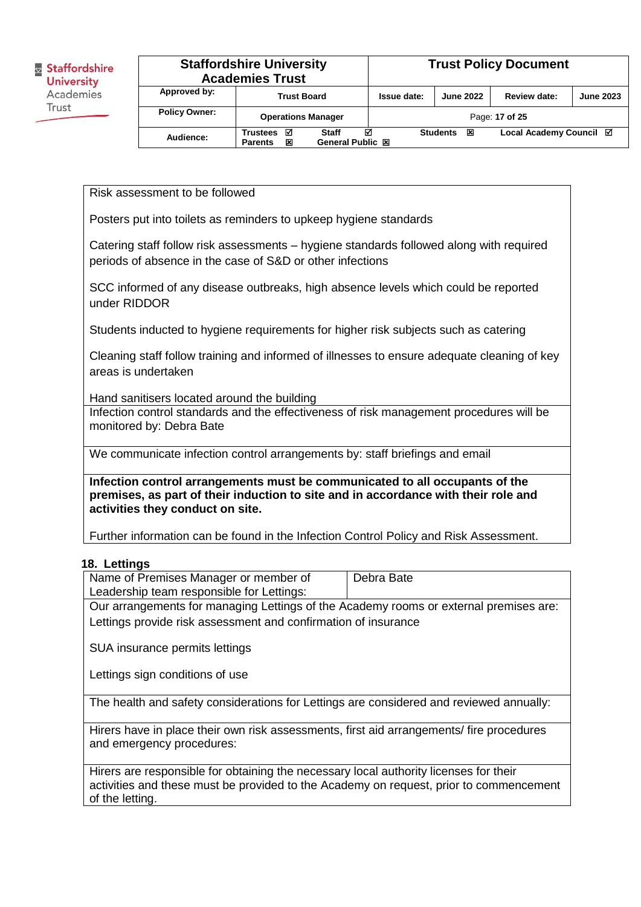|                      | <b>Staffordshire University</b><br><b>Academies Trust</b> |                                       |                    | <b>Trust Policy Document</b> |                         |                  |
|----------------------|-----------------------------------------------------------|---------------------------------------|--------------------|------------------------------|-------------------------|------------------|
| Approved by:         | <b>Trust Board</b>                                        |                                       | <b>Issue date:</b> | <b>June 2022</b>             | Review date:            | <b>June 2023</b> |
| <b>Policy Owner:</b> | <b>Operations Manager</b>                                 |                                       |                    |                              | Page: 17 of 25          |                  |
| Audience:            | ⊠<br><b>Trustees</b><br>×<br><b>Parents</b>               | ☑<br><b>Staff</b><br>General Public 図 |                    | <b>Students</b><br>区         | Local Academy Council ⊠ |                  |

Risk assessment to be followed

Posters put into toilets as reminders to upkeep hygiene standards

Catering staff follow risk assessments – hygiene standards followed along with required periods of absence in the case of S&D or other infections

SCC informed of any disease outbreaks, high absence levels which could be reported under RIDDOR

Students inducted to hygiene requirements for higher risk subjects such as catering

Cleaning staff follow training and informed of illnesses to ensure adequate cleaning of key areas is undertaken

Hand sanitisers located around the building

Infection control standards and the effectiveness of risk management procedures will be monitored by: Debra Bate

We communicate infection control arrangements by: staff briefings and email

**Infection control arrangements must be communicated to all occupants of the premises, as part of their induction to site and in accordance with their role and activities they conduct on site.** 

Further information can be found in the Infection Control Policy and Risk Assessment.

#### **18. Lettings**

| Name of Premises Manager or member of     | Debra Bate |
|-------------------------------------------|------------|
| Leadership team responsible for Lettings: |            |
| $\sim$                                    |            |

Our arrangements for managing Lettings of the Academy rooms or external premises are: Lettings provide risk assessment and confirmation of insurance

SUA insurance permits lettings

Lettings sign conditions of use

The health and safety considerations for Lettings are considered and reviewed annually:

Hirers have in place their own risk assessments, first aid arrangements/ fire procedures and emergency procedures:

Hirers are responsible for obtaining the necessary local authority licenses for their activities and these must be provided to the Academy on request, prior to commencement of the letting.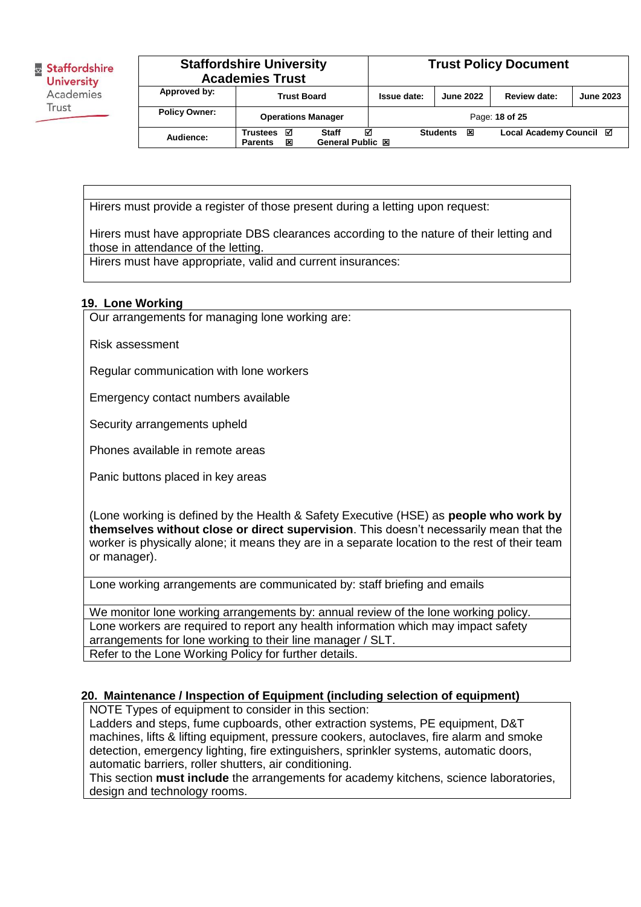|                      | <b>Staffordshire University</b><br><b>Academies Trust</b> |                                              | <b>Trust Policy Document</b> |                      |                         |                  |
|----------------------|-----------------------------------------------------------|----------------------------------------------|------------------------------|----------------------|-------------------------|------------------|
| Approved by:         | <b>Trust Board</b>                                        |                                              | Issue date:                  | <b>June 2022</b>     | Review date:            | <b>June 2023</b> |
| <b>Policy Owner:</b> | <b>Operations Manager</b>                                 |                                              |                              |                      | Page: 18 of 25          |                  |
| Audience:            | ☑<br><b>Trustees</b><br>×<br><b>Parents</b>               | М<br><b>Staff</b><br><b>General Public 図</b> |                              | <b>Students</b><br>区 | Local Academy Council Ø |                  |

Hirers must provide a register of those present during a letting upon request:

Hirers must have appropriate DBS clearances according to the nature of their letting and those in attendance of the letting.

Hirers must have appropriate, valid and current insurances:

#### **19. Lone Working**

Our arrangements for managing lone working are:

Risk assessment

Regular communication with lone workers

Emergency contact numbers available

Security arrangements upheld

Phones available in remote areas

Panic buttons placed in key areas

(Lone working is defined by the Health & Safety Executive (HSE) as **people who work by themselves without close or direct supervision**. This doesn't necessarily mean that the worker is physically alone; it means they are in a separate location to the rest of their team or manager).

Lone working arrangements are communicated by: staff briefing and emails

We monitor lone working arrangements by: annual review of the lone working policy. Lone workers are required to report any health information which may impact safety arrangements for lone working to their line manager / SLT. Refer to the Lone Working Policy for further details.

### **20. Maintenance / Inspection of Equipment (including selection of equipment)**

NOTE Types of equipment to consider in this section:

Ladders and steps, fume cupboards, other extraction systems, PE equipment, D&T machines, lifts & lifting equipment, pressure cookers, autoclaves, fire alarm and smoke detection, emergency lighting, fire extinguishers, sprinkler systems, automatic doors, automatic barriers, roller shutters, air conditioning.

This section **must include** the arrangements for academy kitchens, science laboratories, design and technology rooms.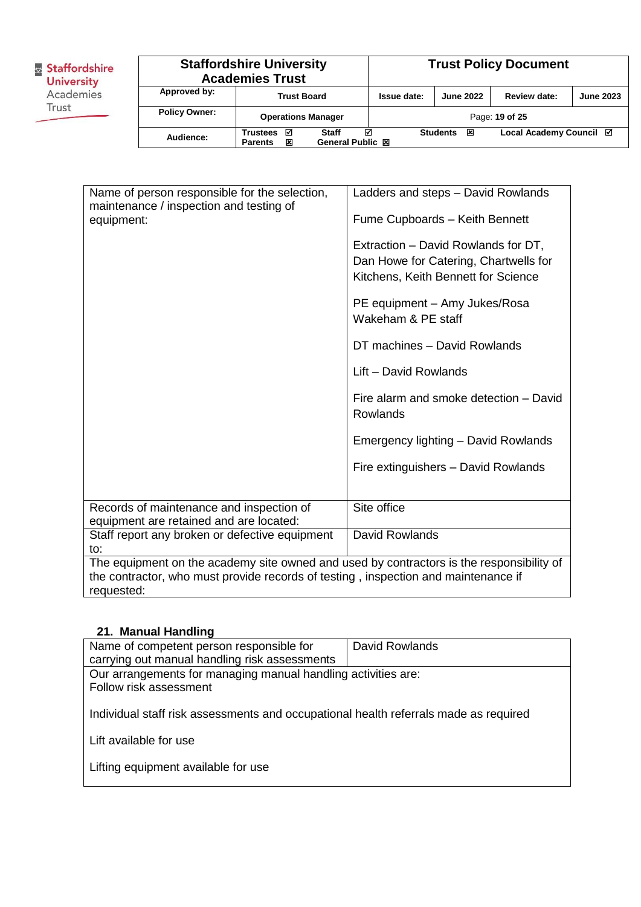| & Staffordshire<br><b>University</b> |                      | <b>Staffordshire University</b><br><b>Academies Trust</b> |        |                                         |   |             | <b>Trust Policy Document</b> |                         |                  |  |
|--------------------------------------|----------------------|-----------------------------------------------------------|--------|-----------------------------------------|---|-------------|------------------------------|-------------------------|------------------|--|
| Academies                            | Approved by:         | <b>Trust Board</b>                                        |        |                                         |   | Issue date: | <b>June 2022</b>             | Review date:            | <b>June 2023</b> |  |
| Trust                                | <b>Policy Owner:</b> |                                                           |        | <b>Operations Manager</b>               |   |             |                              | Page: 19 of 25          |                  |  |
|                                      | Audience:            | Trustees<br><b>Parents</b>                                | М<br>⊠ | <b>Staff</b><br><b>General Public 図</b> | ☑ |             | <b>Students</b><br>区         | Local Academy Council ⊠ |                  |  |

| Name of person responsible for the selection,                                                                                                                                                | Ladders and steps - David Rowlands                                                                                  |
|----------------------------------------------------------------------------------------------------------------------------------------------------------------------------------------------|---------------------------------------------------------------------------------------------------------------------|
| maintenance / inspection and testing of<br>equipment:                                                                                                                                        | Fume Cupboards - Keith Bennett                                                                                      |
|                                                                                                                                                                                              | Extraction – David Rowlands for DT,<br>Dan Howe for Catering, Chartwells for<br>Kitchens, Keith Bennett for Science |
|                                                                                                                                                                                              | PE equipment - Amy Jukes/Rosa<br>Wakeham & PE staff                                                                 |
|                                                                                                                                                                                              | DT machines - David Rowlands                                                                                        |
|                                                                                                                                                                                              | Lift - David Rowlands                                                                                               |
|                                                                                                                                                                                              | Fire alarm and smoke detection - David<br>Rowlands                                                                  |
|                                                                                                                                                                                              | Emergency lighting - David Rowlands                                                                                 |
|                                                                                                                                                                                              | Fire extinguishers - David Rowlands                                                                                 |
|                                                                                                                                                                                              |                                                                                                                     |
| Records of maintenance and inspection of<br>equipment are retained and are located:                                                                                                          | Site office                                                                                                         |
| Staff report any broken or defective equipment<br>to:                                                                                                                                        | David Rowlands                                                                                                      |
| The equipment on the academy site owned and used by contractors is the responsibility of<br>the contractor, who must provide records of testing, inspection and maintenance if<br>requested: |                                                                                                                     |

# **21. Manual Handling**

| Name of competent person responsible for                                             | David Rowlands |
|--------------------------------------------------------------------------------------|----------------|
| carrying out manual handling risk assessments                                        |                |
| Our arrangements for managing manual handling activities are:                        |                |
| Follow risk assessment                                                               |                |
|                                                                                      |                |
| Individual staff risk assessments and occupational health referrals made as required |                |
|                                                                                      |                |
| Lift available for use                                                               |                |
|                                                                                      |                |
| Lifting equipment available for use                                                  |                |
|                                                                                      |                |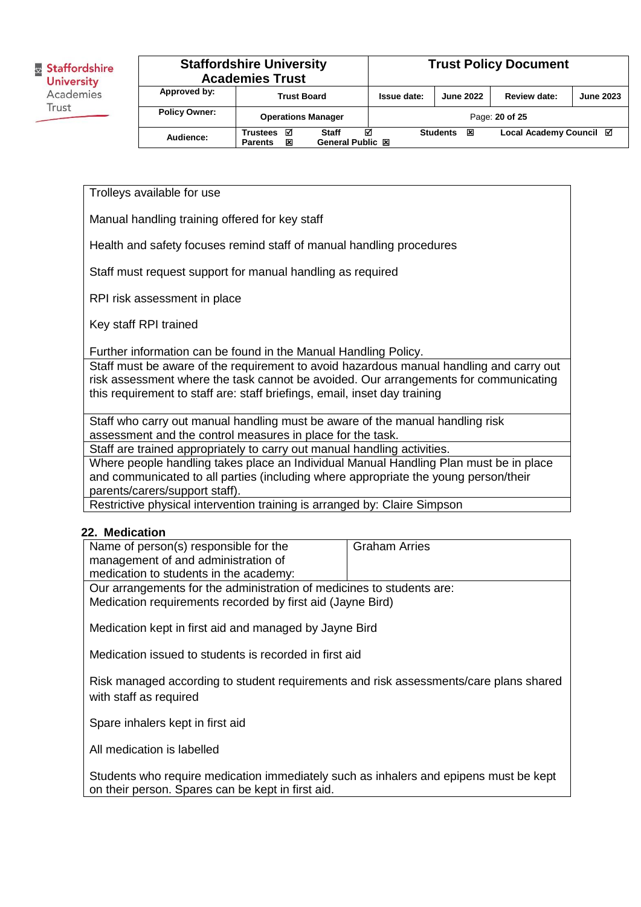# **Staffordshire University Academies Trust Trust Policy Document Approved by: Trust Board Issue date: June 2022 Review date: June 2023**

| <b>Policy Owner:</b> | <b>Operations Manager</b> |                   |                      | Page: 20 of 25          |  |
|----------------------|---------------------------|-------------------|----------------------|-------------------------|--|
| Audience:            | Trustees $\boxtimes$      | <b>Staff</b><br>М | ঘ<br><b>Students</b> | Local Academy Council ⊠ |  |
|                      | ×<br><b>Parents</b>       | General Public 図  |                      |                         |  |
|                      |                           |                   |                      |                         |  |

Trolleys available for use

Manual handling training offered for key staff

Health and safety focuses remind staff of manual handling procedures

Staff must request support for manual handling as required

RPI risk assessment in place

Key staff RPI trained

Further information can be found in the Manual Handling Policy.

Staff must be aware of the requirement to avoid hazardous manual handling and carry out risk assessment where the task cannot be avoided. Our arrangements for communicating this requirement to staff are: staff briefings, email, inset day training

Staff who carry out manual handling must be aware of the manual handling risk assessment and the control measures in place for the task.

Staff are trained appropriately to carry out manual handling activities.

Where people handling takes place an Individual Manual Handling Plan must be in place and communicated to all parties (including where appropriate the young person/their parents/carers/support staff).

Restrictive physical intervention training is arranged by: Claire Simpson

#### **22. Medication**

| Name of person(s) responsible for the                                 | <b>Graham Arries</b> |  |  |  |
|-----------------------------------------------------------------------|----------------------|--|--|--|
| management of and administration of                                   |                      |  |  |  |
| medication to students in the academy:                                |                      |  |  |  |
| Our arrangements for the administration of medicines to students are: |                      |  |  |  |
| Medication requirements recorded by first aid (Jayne Bird)            |                      |  |  |  |
|                                                                       |                      |  |  |  |
| Medication kept in first aid and managed by Jayne Bird                |                      |  |  |  |

Medication issued to students is recorded in first aid

Risk managed according to student requirements and risk assessments/care plans shared with staff as required

Spare inhalers kept in first aid

All medication is labelled

Students who require medication immediately such as inhalers and epipens must be kept on their person. Spares can be kept in first aid.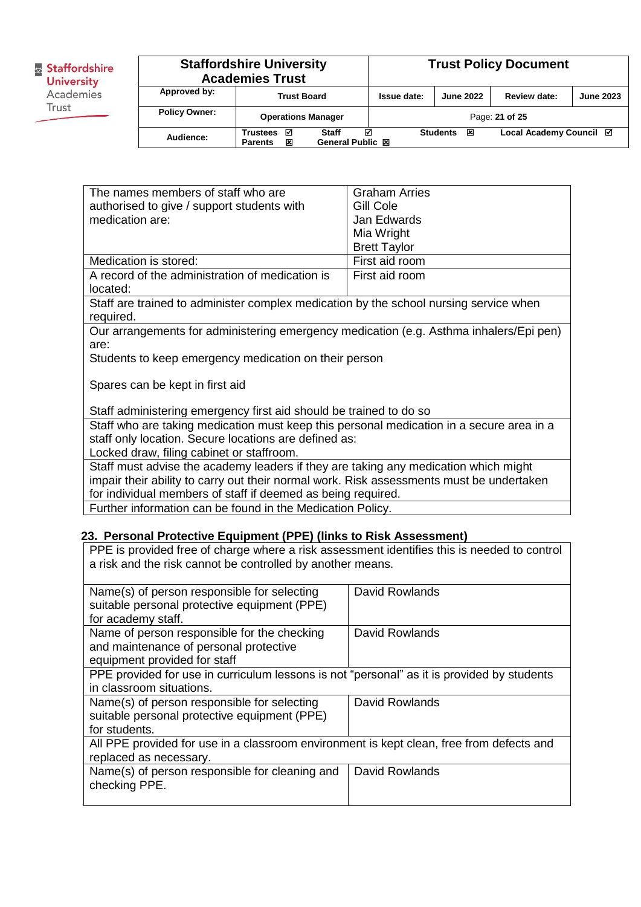|                      | <b>Staffordshire University</b><br><b>Academies Trust</b> |                                       |             | <b>Trust Policy Document</b> |                         |                  |
|----------------------|-----------------------------------------------------------|---------------------------------------|-------------|------------------------------|-------------------------|------------------|
| Approved by:         | <b>Trust Board</b>                                        |                                       | Issue date: | <b>June 2022</b>             | Review date:            | <b>June 2023</b> |
| <b>Policy Owner:</b> | <b>Operations Manager</b>                                 |                                       |             |                              | Page: 21 of 25          |                  |
| Audience:            | <b>Trustees</b><br>☑<br>×<br><b>Parents</b>               | ⊠<br>Staff<br><b>General Public 図</b> |             | <b>Students</b><br>図         | Local Academy Council ⊠ |                  |

| The names members of staff who are                                                       | <b>Graham Arries</b> |  |  |  |
|------------------------------------------------------------------------------------------|----------------------|--|--|--|
| authorised to give / support students with                                               | Gill Cole            |  |  |  |
| medication are:                                                                          | Jan Edwards          |  |  |  |
|                                                                                          | Mia Wright           |  |  |  |
|                                                                                          | <b>Brett Taylor</b>  |  |  |  |
| Medication is stored:                                                                    | First aid room       |  |  |  |
| A record of the administration of medication is                                          | First aid room       |  |  |  |
| located:                                                                                 |                      |  |  |  |
| Staff are trained to administer complex medication by the school nursing service when    |                      |  |  |  |
| required.                                                                                |                      |  |  |  |
| Our arrangements for administering emergency medication (e.g. Asthma inhalers/Epi pen)   |                      |  |  |  |
| are:                                                                                     |                      |  |  |  |
| Students to keep emergency medication on their person                                    |                      |  |  |  |
|                                                                                          |                      |  |  |  |
| Spares can be kept in first aid                                                          |                      |  |  |  |
|                                                                                          |                      |  |  |  |
| Staff administering emergency first aid should be trained to do so                       |                      |  |  |  |
| Staff who are taking medication must keep this personal medication in a secure area in a |                      |  |  |  |
| staff only location. Secure locations are defined as:                                    |                      |  |  |  |
| Locked draw, filing cabinet or staffroom.                                                |                      |  |  |  |
| Staff must advise the academy leaders if they are taking any medication which might      |                      |  |  |  |
| impair their ability to carry out their normal work. Risk assessments must be undertaken |                      |  |  |  |
| for individual members of staff if deemed as being required.                             |                      |  |  |  |

Further information can be found in the Medication Policy.

#### **23. Personal Protective Equipment (PPE) (links to Risk Assessment)**

PPE is provided free of charge where a risk assessment identifies this is needed to control a risk and the risk cannot be controlled by another means.

| Name(s) of person responsible for selecting                                                | David Rowlands        |
|--------------------------------------------------------------------------------------------|-----------------------|
| suitable personal protective equipment (PPE)                                               |                       |
| for academy staff.                                                                         |                       |
| Name of person responsible for the checking                                                | David Rowlands        |
| and maintenance of personal protective                                                     |                       |
| equipment provided for staff                                                               |                       |
| PPE provided for use in curriculum lessons is not "personal" as it is provided by students |                       |
| in classroom situations.                                                                   |                       |
| Name(s) of person responsible for selecting                                                | David Rowlands        |
| suitable personal protective equipment (PPE)                                               |                       |
| for students.                                                                              |                       |
| All PPE provided for use in a classroom environment is kept clean, free from defects and   |                       |
| replaced as necessary.                                                                     |                       |
| Name(s) of person responsible for cleaning and                                             | <b>David Rowlands</b> |
| checking PPE.                                                                              |                       |
|                                                                                            |                       |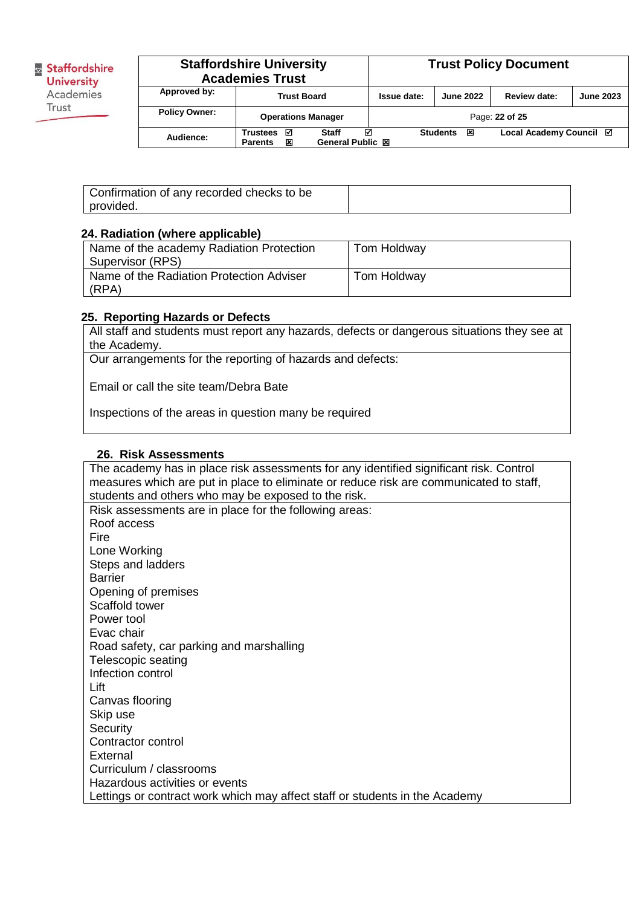|                      | <b>Staffordshire University</b><br><b>Academies Trust</b>              |  |             |                      | <b>Trust Policy Document</b> |                  |
|----------------------|------------------------------------------------------------------------|--|-------------|----------------------|------------------------------|------------------|
| Approved by:         | <b>Trust Board</b>                                                     |  | Issue date: | <b>June 2022</b>     | Review date:                 | <b>June 2023</b> |
| <b>Policy Owner:</b> | <b>Operations Manager</b>                                              |  |             |                      | Page: 22 of 25               |                  |
| Audience:            | М<br>М<br>Staff<br>Trustees<br>×<br>General Public 図<br><b>Parents</b> |  |             | <b>Students</b><br>冈 | Local Academy Council ⊠      |                  |

| Confirmation of any recorded checks to be |  |
|-------------------------------------------|--|
| provided.                                 |  |

#### **24. Radiation (where applicable)**

| Name of the academy Radiation Protection | Tom Holdway |
|------------------------------------------|-------------|
| Supervisor (RPS)                         |             |
| Name of the Radiation Protection Adviser | Tom Holdway |
| (RPA)                                    |             |

#### **25. Reporting Hazards or Defects**

All staff and students must report any hazards, defects or dangerous situations they see at the Academy.

Our arrangements for the reporting of hazards and defects:

Email or call the site team/Debra Bate

Inspections of the areas in question many be required

#### **26. Risk Assessments**

The academy has in place risk assessments for any identified significant risk. Control measures which are put in place to eliminate or reduce risk are communicated to staff, students and others who may be exposed to the risk. Risk assessments are in place for the following areas: Roof access Fire Lone Working Steps and ladders Barrier Opening of premises Scaffold tower Power tool Evac chair Road safety, car parking and marshalling Telescopic seating Infection control Lift Canvas flooring Skip use **Security** Contractor control **External** Curriculum / classrooms Hazardous activities or events Lettings or contract work which may affect staff or students in the Academy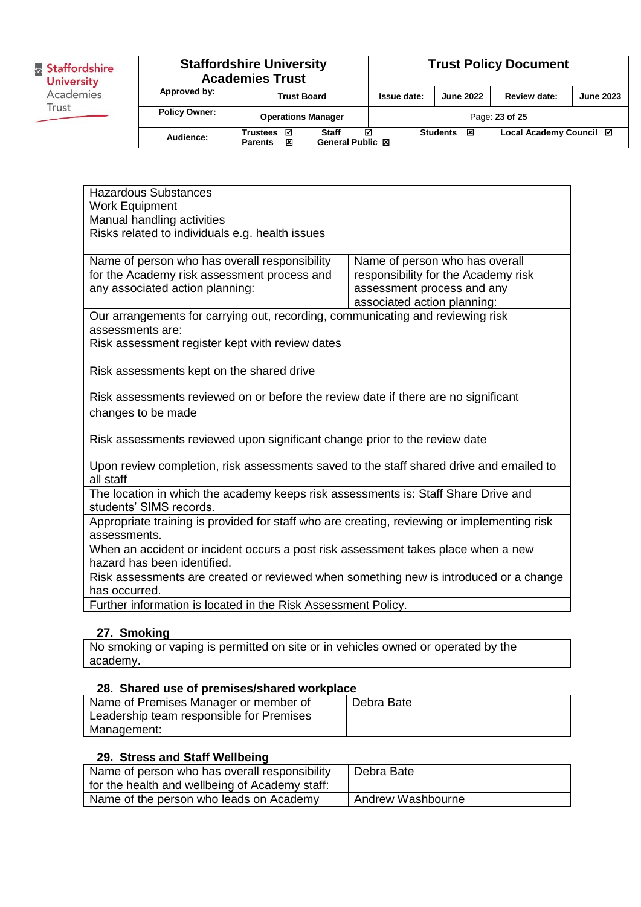|                      | <b>Staffordshire University</b><br><b>Academies Trust</b>                            |  |             |                      | <b>Trust Policy Document</b> |                  |
|----------------------|--------------------------------------------------------------------------------------|--|-------------|----------------------|------------------------------|------------------|
| Approved by:         | <b>Trust Board</b>                                                                   |  | Issue date: | <b>June 2022</b>     | Review date:                 | <b>June 2023</b> |
| <b>Policy Owner:</b> | <b>Operations Manager</b>                                                            |  |             |                      | Page: 23 of 25               |                  |
| Audience:            | ⊠<br>☑<br><b>Staff</b><br><b>Trustees</b><br>General Public 図<br>×<br><b>Parents</b> |  |             | <b>Students</b><br>図 | Local Academy Council Ø      |                  |

| <b>Hazardous Substances</b>                                                                 |                                     |  |  |  |
|---------------------------------------------------------------------------------------------|-------------------------------------|--|--|--|
| <b>Work Equipment</b>                                                                       |                                     |  |  |  |
| Manual handling activities                                                                  |                                     |  |  |  |
| Risks related to individuals e.g. health issues                                             |                                     |  |  |  |
|                                                                                             |                                     |  |  |  |
| Name of person who has overall responsibility                                               | Name of person who has overall      |  |  |  |
| for the Academy risk assessment process and                                                 | responsibility for the Academy risk |  |  |  |
| any associated action planning:                                                             | assessment process and any          |  |  |  |
|                                                                                             | associated action planning:         |  |  |  |
| Our arrangements for carrying out, recording, communicating and reviewing risk              |                                     |  |  |  |
| assessments are:                                                                            |                                     |  |  |  |
| Risk assessment register kept with review dates                                             |                                     |  |  |  |
| Risk assessments kept on the shared drive                                                   |                                     |  |  |  |
|                                                                                             |                                     |  |  |  |
| Risk assessments reviewed on or before the review date if there are no significant          |                                     |  |  |  |
| changes to be made                                                                          |                                     |  |  |  |
|                                                                                             |                                     |  |  |  |
| Risk assessments reviewed upon significant change prior to the review date                  |                                     |  |  |  |
|                                                                                             |                                     |  |  |  |
| Upon review completion, risk assessments saved to the staff shared drive and emailed to     |                                     |  |  |  |
| all staff                                                                                   |                                     |  |  |  |
| The location in which the academy keeps risk assessments is: Staff Share Drive and          |                                     |  |  |  |
| students' SIMS records.                                                                     |                                     |  |  |  |
| Appropriate training is provided for staff who are creating, reviewing or implementing risk |                                     |  |  |  |
| assessments.                                                                                |                                     |  |  |  |
| When an accident or incident occurs a post risk assessment takes place when a new           |                                     |  |  |  |
| hazard has been identified.                                                                 |                                     |  |  |  |
| Risk assessments are created or reviewed when something new is introduced or a change       |                                     |  |  |  |
| has occurred.                                                                               |                                     |  |  |  |
| Further information is located in the Risk Assessment Policy.                               |                                     |  |  |  |
|                                                                                             |                                     |  |  |  |

### **27. Smoking**

No smoking or vaping is permitted on site or in vehicles owned or operated by the academy.

#### **28. Shared use of premises/shared workplace**

| Name of Premises Manager or member of    | Debra Bate |
|------------------------------------------|------------|
| Leadership team responsible for Premises |            |
| Management:                              |            |

#### **29. Stress and Staff Wellbeing**

| Name of person who has overall responsibility  | Debra Bate        |
|------------------------------------------------|-------------------|
| for the health and wellbeing of Academy staff: |                   |
| Name of the person who leads on Academy        | Andrew Washbourne |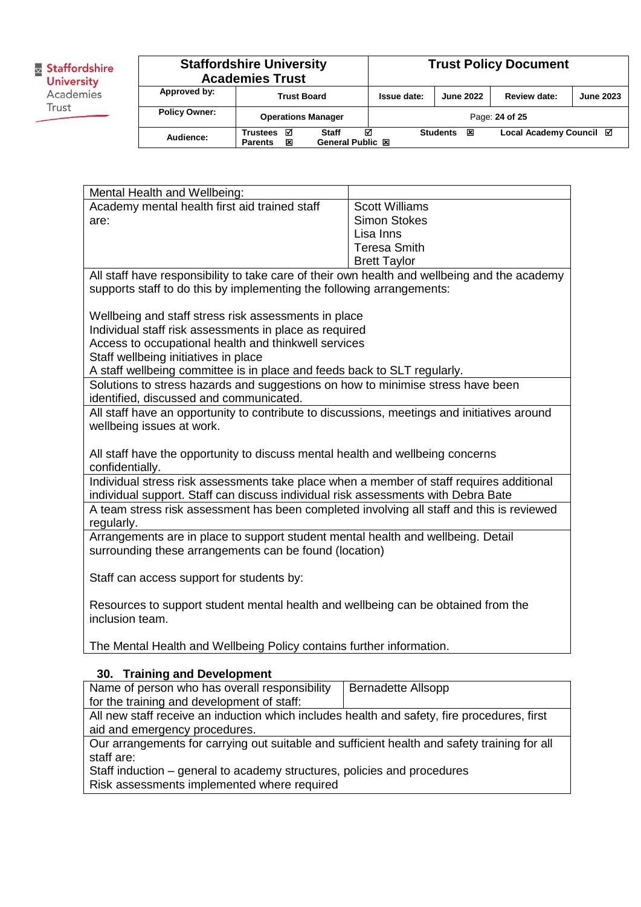|                      | <b>Staffordshire University</b><br><b>Academies Trust</b>                            |  |                    |                      | <b>Trust Policy Document</b> |                  |
|----------------------|--------------------------------------------------------------------------------------|--|--------------------|----------------------|------------------------------|------------------|
| Approved by:         | <b>Trust Board</b>                                                                   |  | <b>Issue date:</b> | <b>June 2022</b>     | Review date:                 | <b>June 2023</b> |
| <b>Policy Owner:</b> | <b>Operations Manager</b>                                                            |  |                    |                      | Page: 24 of 25               |                  |
| Audience:            | ☑<br>☑<br><b>Staff</b><br><b>Trustees</b><br>General Public 図<br>×<br><b>Parents</b> |  |                    | <b>Students</b><br>区 | Local Academy Council ⊠      |                  |

Mental Health and Wellbeing: Academy mental health first aid trained staff are: Scott Williams Simon Stokes Lisa Inns Teresa Smith Brett Taylor All staff have responsibility to take care of their own health and wellbeing and the academy supports staff to do this by implementing the following arrangements: Wellbeing and staff stress risk assessments in place Individual staff risk assessments in place as required Access to occupational health and thinkwell services Staff wellbeing initiatives in place A staff wellbeing committee is in place and feeds back to SLT regularly. Solutions to stress hazards and suggestions on how to minimise stress have been identified, discussed and communicated. All staff have an opportunity to contribute to discussions, meetings and initiatives around wellbeing issues at work. All staff have the opportunity to discuss mental health and wellbeing concerns confidentially. Individual stress risk assessments take place when a member of staff requires additional individual support. Staff can discuss individual risk assessments with Debra Bate A team stress risk assessment has been completed involving all staff and this is reviewed regularly. Arrangements are in place to support student mental health and wellbeing. Detail surrounding these arrangements can be found (location) Staff can access support for students by: Resources to support student mental health and wellbeing can be obtained from the inclusion team. The Mental Health and Wellbeing Policy contains further information. **30. Training and Development** Name of person who has overall responsibility for the training and development of staff: Bernadette Allsopp

All new staff receive an induction which includes health and safety, fire procedures, first aid and emergency procedures.

Our arrangements for carrying out suitable and sufficient health and safety training for all staff are:

Staff induction – general to academy structures, policies and procedures Risk assessments implemented where required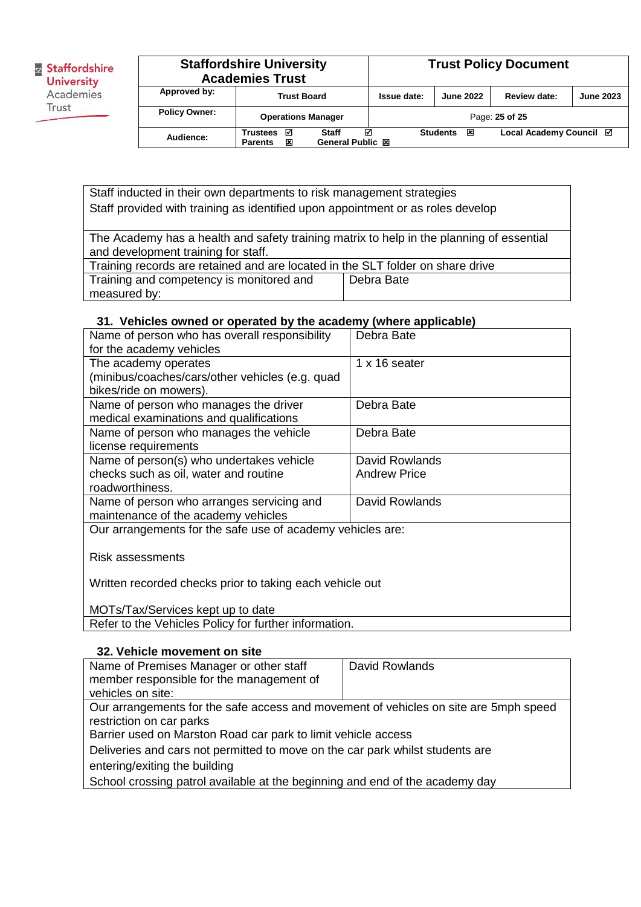| <b>Staffordshire University</b><br><b>Academies Trust</b> |                                      |                                       |             | <b>Trust Policy Document</b> |                         |                  |
|-----------------------------------------------------------|--------------------------------------|---------------------------------------|-------------|------------------------------|-------------------------|------------------|
| Approved by:                                              | <b>Trust Board</b>                   |                                       | Issue date: | <b>June 2022</b>             | Review date:            | <b>June 2023</b> |
| <b>Policy Owner:</b>                                      | <b>Operations Manager</b>            |                                       |             |                              | Page: 25 of 25          |                  |
| Audience:                                                 | Trustees<br>☑<br>×<br><b>Parents</b> | М<br><b>Staff</b><br>General Public 図 |             | <b>Students</b><br>図         | Local Academy Council ⊠ |                  |

Staff inducted in their own departments to risk management strategies Staff provided with training as identified upon appointment or as roles develop

The Academy has a health and safety training matrix to help in the planning of essential and development training for staff.

| Training records are retained and are located in the SLT folder on share drive |            |  |
|--------------------------------------------------------------------------------|------------|--|
| Training and competency is monitored and                                       | Debra Bate |  |
| measured by:                                                                   |            |  |

#### **31. Vehicles owned or operated by the academy (where applicable)**

| Name of person who has overall responsibility<br>for the academy vehicles        | Debra Bate          |
|----------------------------------------------------------------------------------|---------------------|
| The academy operates                                                             | 1 x 16 seater       |
| (minibus/coaches/cars/other vehicles (e.g. quad<br>bikes/ride on mowers).        |                     |
| Name of person who manages the driver<br>medical examinations and qualifications | Debra Bate          |
| Name of person who manages the vehicle<br>license requirements                   | Debra Bate          |
| Name of person(s) who undertakes vehicle                                         | David Rowlands      |
| checks such as oil, water and routine<br>roadworthiness.                         | <b>Andrew Price</b> |
| Name of person who arranges servicing and<br>maintenance of the academy vehicles | David Rowlands      |
| Our arrangements for the safe use of academy vehicles are:                       |                     |
| Risk assessments                                                                 |                     |

Written recorded checks prior to taking each vehicle out

MOTs/Tax/Services kept up to date Refer to the Vehicles Policy for further information.

#### **32. Vehicle movement on site**

| Name of Premises Manager or other staff                                              | David Rowlands |  |  |
|--------------------------------------------------------------------------------------|----------------|--|--|
| member responsible for the management of                                             |                |  |  |
| vehicles on site:                                                                    |                |  |  |
| Our arrangements for the safe access and movement of vehicles on site are 5mph speed |                |  |  |
| restriction on car parks                                                             |                |  |  |
| Barrier used on Marston Road car park to limit vehicle access                        |                |  |  |
| Deliveries and cars not permitted to move on the car park whilst students are        |                |  |  |
| entering/exiting the building                                                        |                |  |  |
| School crossing patrol available at the beginning and end of the academy day         |                |  |  |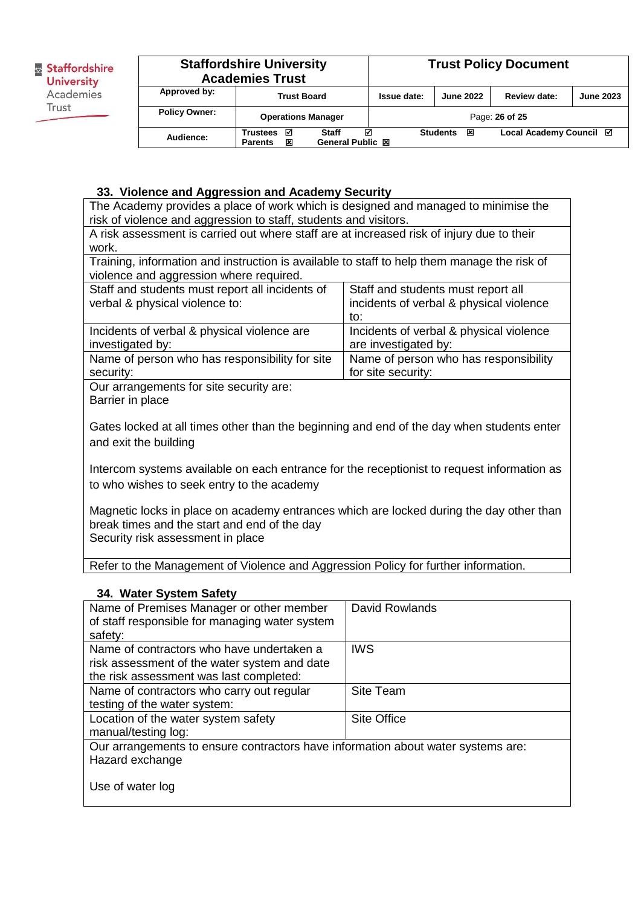| <b>Staffordshire University</b><br><b>Academies Trust</b> |                                             | <b>Trust Policy Document</b>          |             |                      |                         |                  |
|-----------------------------------------------------------|---------------------------------------------|---------------------------------------|-------------|----------------------|-------------------------|------------------|
| Approved by:                                              | <b>Trust Board</b>                          |                                       | Issue date: | <b>June 2022</b>     | <b>Review date:</b>     | <b>June 2023</b> |
| <b>Policy Owner:</b>                                      | <b>Operations Manager</b>                   |                                       |             |                      | Page: 26 of 25          |                  |
| Audience:                                                 | ⊠<br><b>Trustees</b><br>区<br><b>Parents</b> | М<br>Staff<br><b>General Public 図</b> |             | <b>Students</b><br>区 | Local Academy Council Ø |                  |

### **33. Violence and Aggression and Academy Security**

The Academy provides a place of work which is designed and managed to minimise the risk of violence and aggression to staff, students and visitors.

A risk assessment is carried out where staff are at increased risk of injury due to their work.

Training, information and instruction is available to staff to help them manage the risk of violence and aggression where required.

| Staff and students must report all incidents of<br>verbal & physical violence to: | Staff and students must report all<br>incidents of verbal & physical violence |
|-----------------------------------------------------------------------------------|-------------------------------------------------------------------------------|
|                                                                                   | to:                                                                           |
| Incidents of verbal & physical violence are                                       | Incidents of verbal & physical violence                                       |
| investigated by:                                                                  | are investigated by:                                                          |
| Name of person who has responsibility for site                                    | Name of person who has responsibility                                         |
| security:                                                                         | for site security:                                                            |

Our arrangements for site security are: Barrier in place

Gates locked at all times other than the beginning and end of the day when students enter and exit the building

Intercom systems available on each entrance for the receptionist to request information as to who wishes to seek entry to the academy

Magnetic locks in place on academy entrances which are locked during the day other than break times and the start and end of the day Security risk assessment in place

Refer to the Management of Violence and Aggression Policy for further information.

#### **34. Water System Safety**

| Name of Premises Manager or other member                                         | David Rowlands     |
|----------------------------------------------------------------------------------|--------------------|
| of staff responsible for managing water system                                   |                    |
| safety:                                                                          |                    |
| Name of contractors who have undertaken a                                        | <b>IWS</b>         |
| risk assessment of the water system and date                                     |                    |
| the risk assessment was last completed:                                          |                    |
| Name of contractors who carry out regular                                        | <b>Site Team</b>   |
| testing of the water system:                                                     |                    |
| Location of the water system safety                                              | <b>Site Office</b> |
| manual/testing log:                                                              |                    |
| Our arrangements to ensure contractors have information about water systems are: |                    |
| Hazard exchange                                                                  |                    |
|                                                                                  |                    |
| Use of water log                                                                 |                    |
|                                                                                  |                    |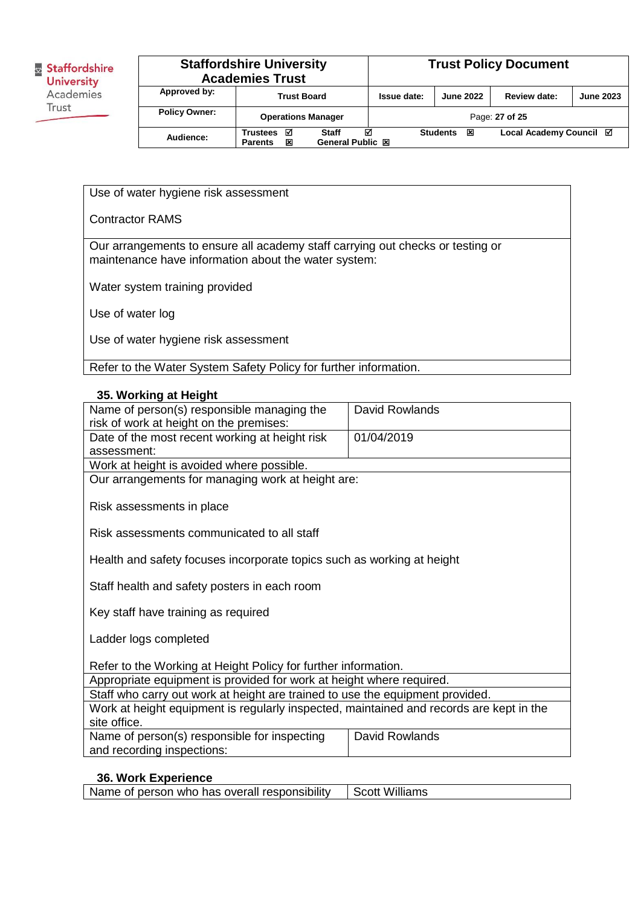| <b>Staffordshire University</b><br><b>Academies Trust</b> |                                             |                                              |             | <b>Trust Policy Document</b> |                         |                  |
|-----------------------------------------------------------|---------------------------------------------|----------------------------------------------|-------------|------------------------------|-------------------------|------------------|
| Approved by:                                              | <b>Trust Board</b>                          |                                              | Issue date: | <b>June 2022</b>             | Review date:            | <b>June 2023</b> |
| <b>Policy Owner:</b>                                      | <b>Operations Manager</b>                   |                                              |             |                              | Page: 27 of 25          |                  |
| Audience:                                                 | ⊠<br><b>Trustees</b><br>×<br><b>Parents</b> | ⊠<br><b>Staff</b><br><b>General Public 図</b> |             | 区<br><b>Students</b>         | Local Academy Council ⊠ |                  |

Use of water hygiene risk assessment

Contractor RAMS

Our arrangements to ensure all academy staff carrying out checks or testing or maintenance have information about the water system:

Water system training provided

Use of water log

Use of water hygiene risk assessment

Refer to the Water System Safety Policy for further information.

**35. Working at Height**

| Name of person(s) responsible managing the                                              | David Rowlands |  |  |  |
|-----------------------------------------------------------------------------------------|----------------|--|--|--|
| risk of work at height on the premises:                                                 |                |  |  |  |
| Date of the most recent working at height risk                                          | 01/04/2019     |  |  |  |
| assessment:                                                                             |                |  |  |  |
| Work at height is avoided where possible.                                               |                |  |  |  |
| Our arrangements for managing work at height are:                                       |                |  |  |  |
|                                                                                         |                |  |  |  |
| Risk assessments in place                                                               |                |  |  |  |
|                                                                                         |                |  |  |  |
| Risk assessments communicated to all staff                                              |                |  |  |  |
|                                                                                         |                |  |  |  |
| Health and safety focuses incorporate topics such as working at height                  |                |  |  |  |
|                                                                                         |                |  |  |  |
| Staff health and safety posters in each room                                            |                |  |  |  |
|                                                                                         |                |  |  |  |
| Key staff have training as required                                                     |                |  |  |  |
|                                                                                         |                |  |  |  |
| Ladder logs completed                                                                   |                |  |  |  |
|                                                                                         |                |  |  |  |
| Refer to the Working at Height Policy for further information.                          |                |  |  |  |
| Appropriate equipment is provided for work at height where required.                    |                |  |  |  |
| Staff who carry out work at height are trained to use the equipment provided.           |                |  |  |  |
| Work at height equipment is regularly inspected, maintained and records are kept in the |                |  |  |  |
| site office.                                                                            |                |  |  |  |
| Name of person(s) responsible for inspecting                                            | David Rowlands |  |  |  |
| and recording inspections:                                                              |                |  |  |  |
|                                                                                         |                |  |  |  |

# **36. Work Experience**

Name of person who has overall responsibility  $\vert$  Scott Williams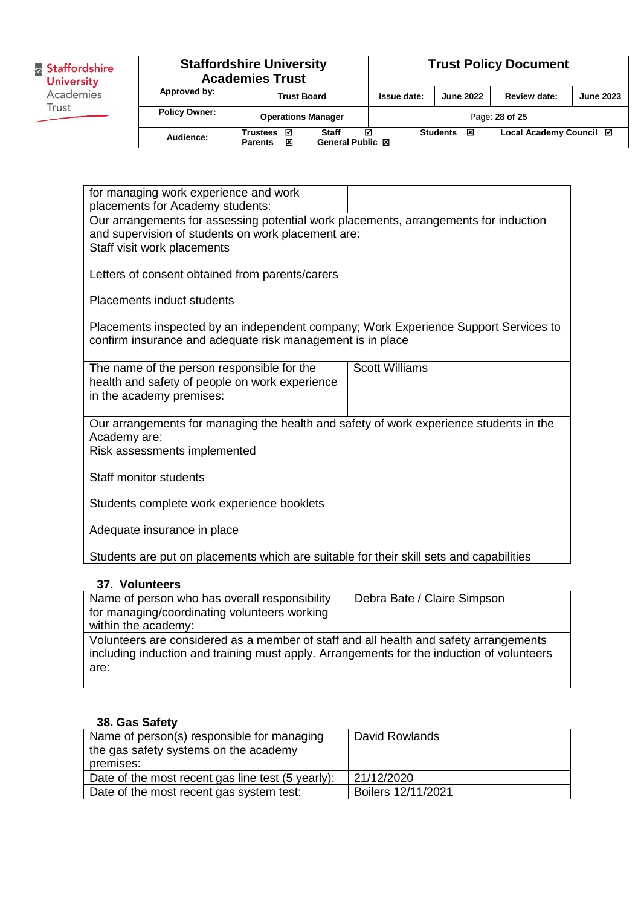| Staffordshire     |
|-------------------|
| <b>University</b> |
| Academies         |
| Trust             |
|                   |

|                      | <b>Staffordshire University</b><br><b>Academies Trust</b> |                                |             |                      | <b>Trust Policy Document</b> |                  |
|----------------------|-----------------------------------------------------------|--------------------------------|-------------|----------------------|------------------------------|------------------|
| Approved by:         |                                                           | <b>Trust Board</b>             | Issue date: | <b>June 2022</b>     | Review date:                 | <b>June 2023</b> |
| <b>Policy Owner:</b> |                                                           | <b>Operations Manager</b>      |             |                      | Page: 28 of 25               |                  |
| Audience:            | <b>Trustees</b><br>☑<br>×<br><b>Parents</b>               | М<br>Staff<br>General Public 図 |             | <b>Students</b><br>冈 | Local Academy Council ⊠      |                  |

| for managing work experience and work<br>placements for Academy students:                                                                                                 |                       |  |  |  |
|---------------------------------------------------------------------------------------------------------------------------------------------------------------------------|-----------------------|--|--|--|
| Our arrangements for assessing potential work placements, arrangements for induction<br>and supervision of students on work placement are:<br>Staff visit work placements |                       |  |  |  |
| Letters of consent obtained from parents/carers                                                                                                                           |                       |  |  |  |
| <b>Placements induct students</b>                                                                                                                                         |                       |  |  |  |
| Placements inspected by an independent company; Work Experience Support Services to<br>confirm insurance and adequate risk management is in place                         |                       |  |  |  |
| The name of the person responsible for the<br>health and safety of people on work experience<br>in the academy premises:                                                  | <b>Scott Williams</b> |  |  |  |
| Our arrangements for managing the health and safety of work experience students in the<br>Academy are:<br>Risk assessments implemented                                    |                       |  |  |  |
| Staff monitor students                                                                                                                                                    |                       |  |  |  |
| Students complete work experience booklets                                                                                                                                |                       |  |  |  |
| Adequate insurance in place                                                                                                                                               |                       |  |  |  |
| Students are put on placements which are suitable for their skill sets and capabilities                                                                                   |                       |  |  |  |

## **37. Volunteers**

| Name of person who has overall responsibility<br>for managing/coordinating volunteers working<br>within the academy:                                                                       | Debra Bate / Claire Simpson |
|--------------------------------------------------------------------------------------------------------------------------------------------------------------------------------------------|-----------------------------|
| Volunteers are considered as a member of staff and all health and safety arrangements<br>including induction and training must apply. Arrangements for the induction of volunteers<br>are: |                             |

### **38. Gas Safety**

| Name of person(s) responsible for managing<br>the gas safety systems on the academy<br>premises: | David Rowlands     |
|--------------------------------------------------------------------------------------------------|--------------------|
| Date of the most recent gas line test (5 yearly):                                                | 21/12/2020         |
| Date of the most recent gas system test:                                                         | Boilers 12/11/2021 |